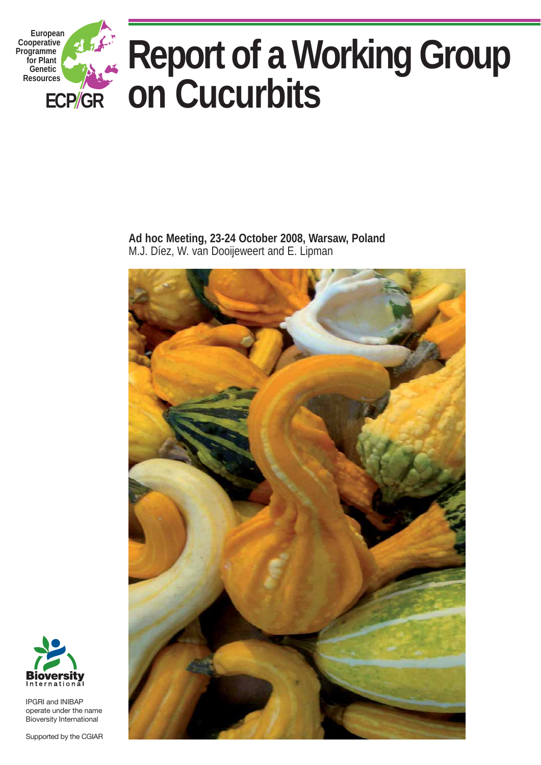

**Ad hoc Meeting, 23-24 October 2008, Warsaw, Poland**  M.J. Díez, W. van Dooijeweert and E. Lipman





IPGRI and INIBAP operate under the name Bioversity International

Supported by the CGIAR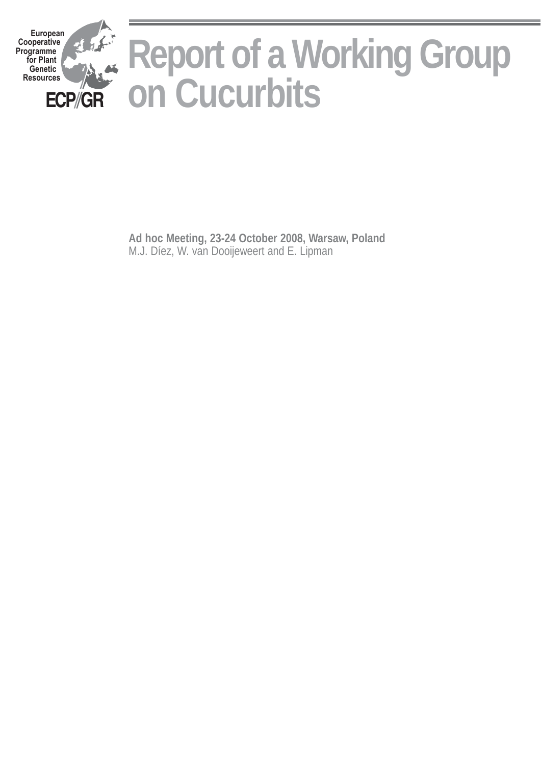

**Ad hoc Meeting, 23-24 October 2008, Warsaw, Poland** M.J. Díez, W. van Dooijeweert and E. Lipman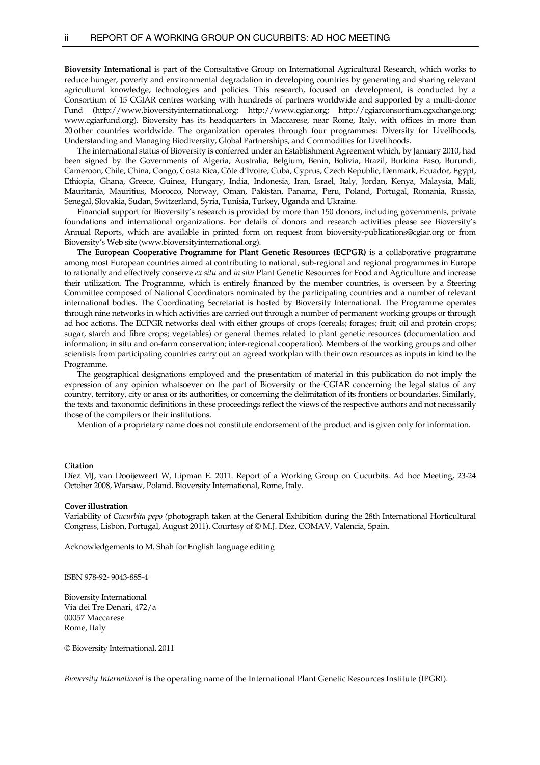**Bioversity International** is part of the Consultative Group on International Agricultural Research, which works to reduce hunger, poverty and environmental degradation in developing countries by generating and sharing relevant agricultural knowledge, technologies and policies. This research, focused on development, is conducted by a Consortium of 15 CGIAR centres working with hundreds of partners worldwide and supported by a multi-donor Fund (http://www.bioversityinternational.org; http://www.cgiar.org; http://cgiarconsortium.cgxchange.org; www.cgiarfund.org). Bioversity has its headquarters in Maccarese, near Rome, Italy, with offices in more than 20 other countries worldwide. The organization operates through four programmes: Diversity for Livelihoods, Understanding and Managing Biodiversity, Global Partnerships, and Commodities for Livelihoods.

 The international status of Bioversity is conferred under an Establishment Agreement which, by January 2010, had been signed by the Governments of Algeria, Australia, Belgium, Benin, Bolivia, Brazil, Burkina Faso, Burundi, Cameroon, Chile, China, Congo, Costa Rica, Côte d'Ivoire, Cuba, Cyprus, Czech Republic, Denmark, Ecuador, Egypt, Ethiopia, Ghana, Greece, Guinea, Hungary, India, Indonesia, Iran, Israel, Italy, Jordan, Kenya, Malaysia, Mali, Mauritania, Mauritius, Morocco, Norway, Oman, Pakistan, Panama, Peru, Poland, Portugal, Romania, Russia, Senegal, Slovakia, Sudan, Switzerland, Syria, Tunisia, Turkey, Uganda and Ukraine.

 Financial support for Bioversity's research is provided by more than 150 donors, including governments, private foundations and international organizations. For details of donors and research activities please see Bioversity's Annual Reports, which are available in printed form on request from bioversity-publications@cgiar.org or from Bioversity's Web site (www.bioversityinternational.org).

**The European Cooperative Programme for Plant Genetic Resources (ECPGR)** is a collaborative programme among most European countries aimed at contributing to national, sub-regional and regional programmes in Europe to rationally and effectively conserve *ex situ* and *in situ* Plant Genetic Resources for Food and Agriculture and increase their utilization. The Programme, which is entirely financed by the member countries, is overseen by a Steering Committee composed of National Coordinators nominated by the participating countries and a number of relevant international bodies. The Coordinating Secretariat is hosted by Bioversity International. The Programme operates through nine networks in which activities are carried out through a number of permanent working groups or through ad hoc actions. The ECPGR networks deal with either groups of crops (cereals; forages; fruit; oil and protein crops; sugar, starch and fibre crops; vegetables) or general themes related to plant genetic resources (documentation and information; in situ and on-farm conservation; inter-regional cooperation). Members of the working groups and other scientists from participating countries carry out an agreed workplan with their own resources as inputs in kind to the Programme.

 The geographical designations employed and the presentation of material in this publication do not imply the expression of any opinion whatsoever on the part of Bioversity or the CGIAR concerning the legal status of any country, territory, city or area or its authorities, or concerning the delimitation of its frontiers or boundaries. Similarly, the texts and taxonomic definitions in these proceedings reflect the views of the respective authors and not necessarily those of the compilers or their institutions.

Mention of a proprietary name does not constitute endorsement of the product and is given only for information.

#### **Citation**

Díez MJ, van Dooijeweert W, Lipman E. 2011. Report of a Working Group on Cucurbits. Ad hoc Meeting, 23-24 October 2008, Warsaw, Poland. Bioversity International, Rome, Italy.

#### **Cover illustration**

Variability of *Cucurbita pepo (*photograph taken at the General Exhibition during the 28th International Horticultural Congress, Lisbon, Portugal, August 2011). Courtesy of © M.J. Díez, COMAV, Valencia, Spain.

Acknowledgements to M. Shah for English language editing

ISBN 978-92- 9043-885-4

Bioversity International Via dei Tre Denari, 472/a 00057 Maccarese Rome, Italy

© Bioversity International, 2011

*Bioversity International* is the operating name of the International Plant Genetic Resources Institute (IPGRI).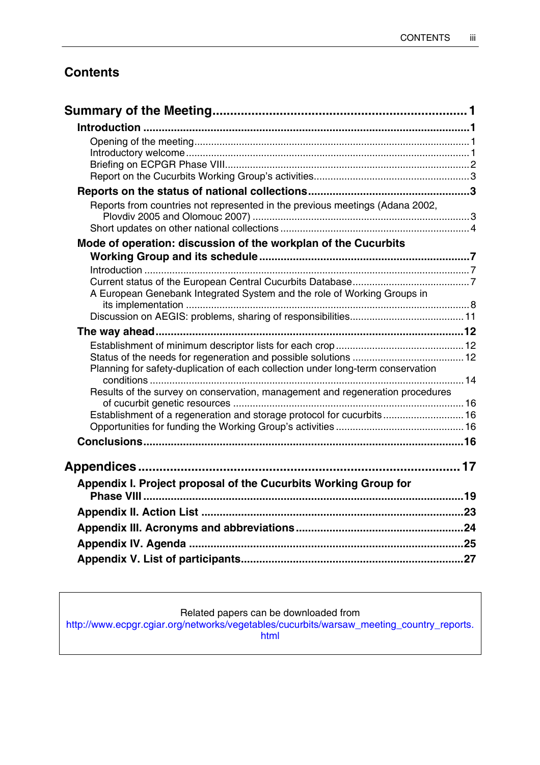## **Contents**

| Reports from countries not represented in the previous meetings (Adana 2002,    |  |
|---------------------------------------------------------------------------------|--|
|                                                                                 |  |
| Mode of operation: discussion of the workplan of the Cucurbits                  |  |
|                                                                                 |  |
|                                                                                 |  |
| A European Genebank Integrated System and the role of Working Groups in         |  |
|                                                                                 |  |
|                                                                                 |  |
|                                                                                 |  |
|                                                                                 |  |
|                                                                                 |  |
| Planning for safety-duplication of each collection under long-term conservation |  |
| Results of the survey on conservation, management and regeneration procedures   |  |
|                                                                                 |  |
| Establishment of a regeneration and storage protocol for cucurbits 16           |  |
|                                                                                 |  |
|                                                                                 |  |
|                                                                                 |  |
|                                                                                 |  |
| Appendix I. Project proposal of the Cucurbits Working Group for                 |  |
|                                                                                 |  |
|                                                                                 |  |
|                                                                                 |  |
|                                                                                 |  |
|                                                                                 |  |

## Related papers can be downloaded from

http://www.ecpgr.cgiar.org/networks/vegetables/cucurbits/warsaw\_meeting\_country\_reports. html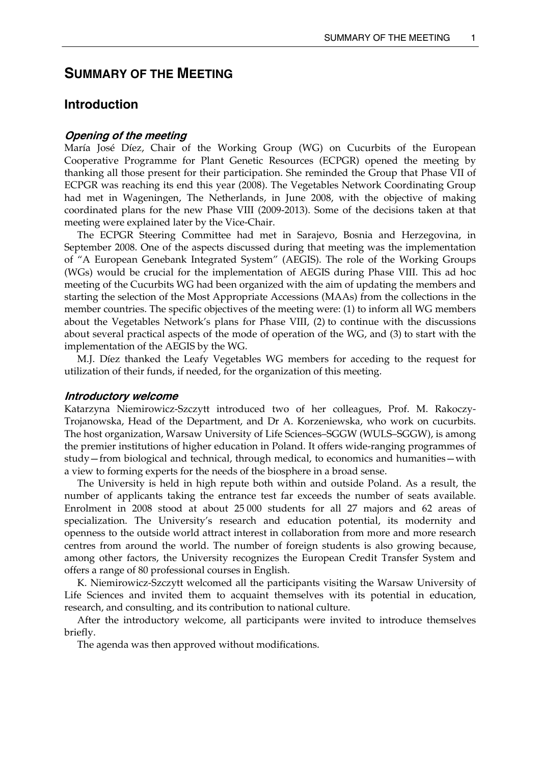## **SUMMARY OF THE MEETING**

## **Introduction**

#### **Opening of the meeting**

María José Díez, Chair of the Working Group (WG) on Cucurbits of the European Cooperative Programme for Plant Genetic Resources (ECPGR) opened the meeting by thanking all those present for their participation. She reminded the Group that Phase VII of ECPGR was reaching its end this year (2008). The Vegetables Network Coordinating Group had met in Wageningen, The Netherlands, in June 2008, with the objective of making coordinated plans for the new Phase VIII (2009-2013). Some of the decisions taken at that meeting were explained later by the Vice-Chair.

 The ECPGR Steering Committee had met in Sarajevo, Bosnia and Herzegovina, in September 2008. One of the aspects discussed during that meeting was the implementation of "A European Genebank Integrated System" (AEGIS). The role of the Working Groups (WGs) would be crucial for the implementation of AEGIS during Phase VIII. This ad hoc meeting of the Cucurbits WG had been organized with the aim of updating the members and starting the selection of the Most Appropriate Accessions (MAAs) from the collections in the member countries. The specific objectives of the meeting were: (1) to inform all WG members about the Vegetables Network's plans for Phase VIII, (2) to continue with the discussions about several practical aspects of the mode of operation of the WG, and (3) to start with the implementation of the AEGIS by the WG.

 M.J. Díez thanked the Leafy Vegetables WG members for acceding to the request for utilization of their funds, if needed, for the organization of this meeting.

#### **Introductory welcome**

Katarzyna Niemirowicz-Szczytt introduced two of her colleagues, Prof. M. Rakoczy-Trojanowska, Head of the Department, and Dr A. Korzeniewska, who work on cucurbits. The host organization, Warsaw University of Life Sciences–SGGW (WULS–SGGW), is among the premier institutions of higher education in Poland. It offers wide-ranging programmes of study—from biological and technical, through medical, to economics and humanities—with a view to forming experts for the needs of the biosphere in a broad sense.

 The University is held in high repute both within and outside Poland. As a result, the number of applicants taking the entrance test far exceeds the number of seats available. Enrolment in 2008 stood at about 25 000 students for all 27 majors and 62 areas of specialization. The University's research and education potential, its modernity and openness to the outside world attract interest in collaboration from more and more research centres from around the world. The number of foreign students is also growing because, among other factors, the University recognizes the European Credit Transfer System and offers a range of 80 professional courses in English.

 K. Niemirowicz-Szczytt welcomed all the participants visiting the Warsaw University of Life Sciences and invited them to acquaint themselves with its potential in education, research, and consulting, and its contribution to national culture.

 After the introductory welcome, all participants were invited to introduce themselves briefly.

The agenda was then approved without modifications.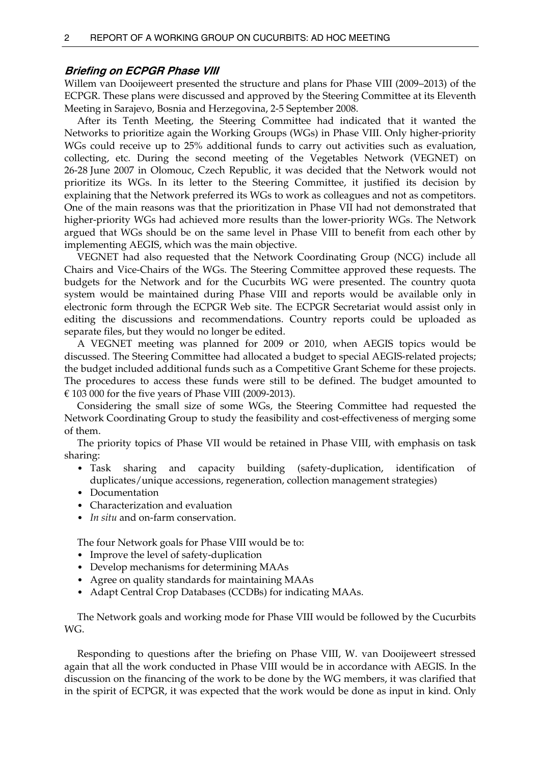#### **Briefing on ECPGR Phase VIII**

Willem van Dooijeweert presented the structure and plans for Phase VIII (2009–2013) of the ECPGR. These plans were discussed and approved by the Steering Committee at its Eleventh Meeting in Sarajevo, Bosnia and Herzegovina, 2-5 September 2008.

 After its Tenth Meeting, the Steering Committee had indicated that it wanted the Networks to prioritize again the Working Groups (WGs) in Phase VIII. Only higher-priority WGs could receive up to 25% additional funds to carry out activities such as evaluation, collecting, etc. During the second meeting of the Vegetables Network (VEGNET) on 26-28 June 2007 in Olomouc, Czech Republic, it was decided that the Network would not prioritize its WGs. In its letter to the Steering Committee, it justified its decision by explaining that the Network preferred its WGs to work as colleagues and not as competitors. One of the main reasons was that the prioritization in Phase VII had not demonstrated that higher-priority WGs had achieved more results than the lower-priority WGs. The Network argued that WGs should be on the same level in Phase VIII to benefit from each other by implementing AEGIS, which was the main objective.

 VEGNET had also requested that the Network Coordinating Group (NCG) include all Chairs and Vice-Chairs of the WGs. The Steering Committee approved these requests. The budgets for the Network and for the Cucurbits WG were presented. The country quota system would be maintained during Phase VIII and reports would be available only in electronic form through the ECPGR Web site. The ECPGR Secretariat would assist only in editing the discussions and recommendations. Country reports could be uploaded as separate files, but they would no longer be edited.

 A VEGNET meeting was planned for 2009 or 2010, when AEGIS topics would be discussed. The Steering Committee had allocated a budget to special AEGIS-related projects; the budget included additional funds such as a Competitive Grant Scheme for these projects. The procedures to access these funds were still to be defined. The budget amounted to € 103 000 for the five years of Phase VIII (2009-2013).

 Considering the small size of some WGs, the Steering Committee had requested the Network Coordinating Group to study the feasibility and cost-effectiveness of merging some of them.

 The priority topics of Phase VII would be retained in Phase VIII, with emphasis on task sharing:

- Task sharing and capacity building (safety-duplication, identification of duplicates/unique accessions, regeneration, collection management strategies)
- Documentation
- Characterization and evaluation
- *In situ* and on-farm conservation.

The four Network goals for Phase VIII would be to:

- Improve the level of safety-duplication
- Develop mechanisms for determining MAAs
- Agree on quality standards for maintaining MAAs
- Adapt Central Crop Databases (CCDBs) for indicating MAAs.

 The Network goals and working mode for Phase VIII would be followed by the Cucurbits WG.

 Responding to questions after the briefing on Phase VIII, W. van Dooijeweert stressed again that all the work conducted in Phase VIII would be in accordance with AEGIS. In the discussion on the financing of the work to be done by the WG members, it was clarified that in the spirit of ECPGR, it was expected that the work would be done as input in kind. Only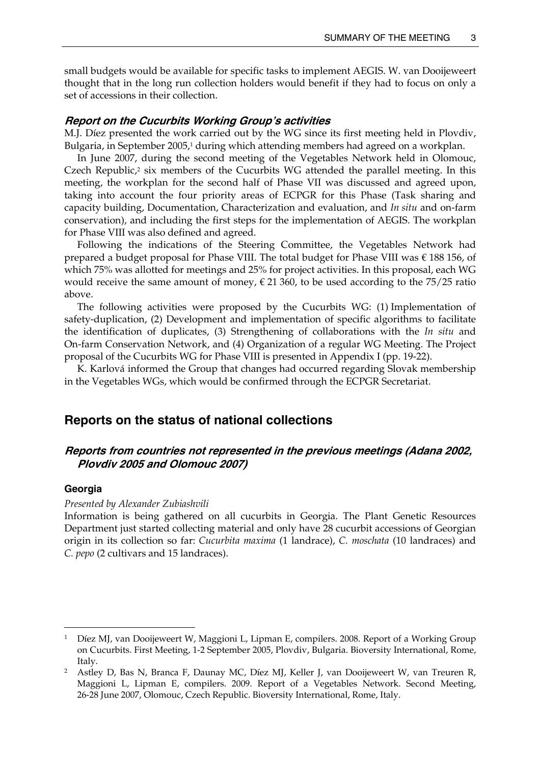small budgets would be available for specific tasks to implement AEGIS. W. van Dooijeweert thought that in the long run collection holders would benefit if they had to focus on only a set of accessions in their collection.

#### **Report on the Cucurbits Working Group's activities**

M.J. Díez presented the work carried out by the WG since its first meeting held in Plovdiv, Bulgaria, in September 2005,<sup>1</sup> during which attending members had agreed on a workplan.

 In June 2007, during the second meeting of the Vegetables Network held in Olomouc, Czech Republic, $2$  six members of the Cucurbits WG attended the parallel meeting. In this meeting, the workplan for the second half of Phase VII was discussed and agreed upon, taking into account the four priority areas of ECPGR for this Phase (Task sharing and capacity building, Documentation, Characterization and evaluation, and *In situ* and on-farm conservation), and including the first steps for the implementation of AEGIS. The workplan for Phase VIII was also defined and agreed.

 Following the indications of the Steering Committee, the Vegetables Network had prepared a budget proposal for Phase VIII. The total budget for Phase VIII was € 188 156, of which 75% was allotted for meetings and 25% for project activities. In this proposal, each WG would receive the same amount of money,  $\epsilon$  21 360, to be used according to the 75/25 ratio above.

 The following activities were proposed by the Cucurbits WG: (1) Implementation of safety-duplication, (2) Development and implementation of specific algorithms to facilitate the identification of duplicates, (3) Strengthening of collaborations with the *In situ* and On-farm Conservation Network, and (4) Organization of a regular WG Meeting. The Project proposal of the Cucurbits WG for Phase VIII is presented in Appendix I (pp. 19-22).

K. Karlová informed the Group that changes had occurred regarding Slovak membership in the Vegetables WGs, which would be confirmed through the ECPGR Secretariat.

#### **Reports on the status of national collections**

## **Reports from countries not represented in the previous meetings (Adana 2002, Plovdiv 2005 and Olomouc 2007)**

#### **Georgia**

 $\overline{a}$ 

#### *Presented by Alexander Zubiashvili*

Information is being gathered on all cucurbits in Georgia. The Plant Genetic Resources Department just started collecting material and only have 28 cucurbit accessions of Georgian origin in its collection so far: *Cucurbita maxima* (1 landrace), *C. moschata* (10 landraces) and *C. pepo* (2 cultivars and 15 landraces).

<sup>1</sup> Díez MJ, van Dooijeweert W, Maggioni L, Lipman E, compilers. 2008. Report of a Working Group on Cucurbits. First Meeting, 1-2 September 2005, Plovdiv, Bulgaria. Bioversity International, Rome, Italy. 2 Astley D, Bas N, Branca F, Daunay MC, Díez MJ, Keller J, van Dooijeweert W, van Treuren R,

Maggioni L, Lipman E, compilers. 2009. Report of a Vegetables Network. Second Meeting, 26-28 June 2007, Olomouc, Czech Republic. Bioversity International, Rome, Italy.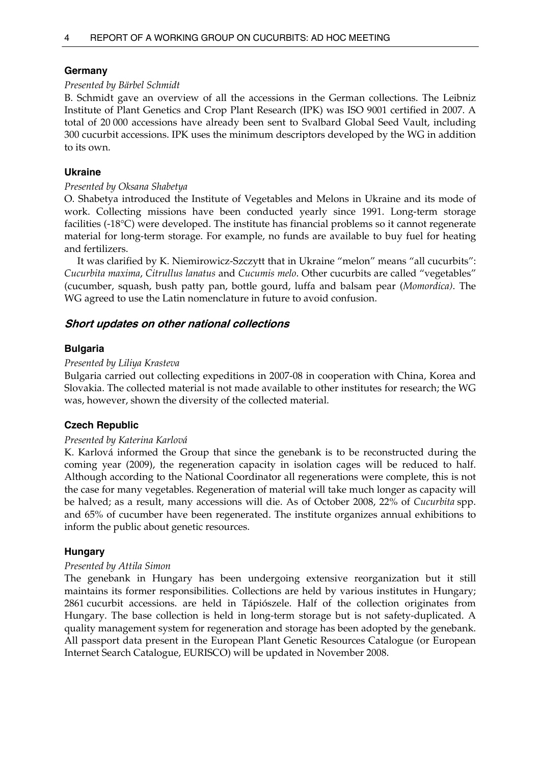#### **Germany**

#### *Presented by Bärbel Schmidt*

B. Schmidt gave an overview of all the accessions in the German collections. The Leibniz Institute of Plant Genetics and Crop Plant Research (IPK) was ISO 9001 certified in 2007. A total of 20 000 accessions have already been sent to Svalbard Global Seed Vault, including 300 cucurbit accessions. IPK uses the minimum descriptors developed by the WG in addition to its own.

### **Ukraine**

#### *Presented by Oksana Shabetya*

O. Shabetya introduced the Institute of Vegetables and Melons in Ukraine and its mode of work. Collecting missions have been conducted yearly since 1991. Long-term storage facilities (-18°C) were developed. The institute has financial problems so it cannot regenerate material for long-term storage. For example, no funds are available to buy fuel for heating and fertilizers.

 It was clarified by K. Niemirowicz-Szczytt that in Ukraine "melon" means "all cucurbits": *Cucurbita maxima*, *Citrullus lanatus* and *Cucumis melo*. Other cucurbits are called "vegetables" (cucumber, squash, bush patty pan, bottle gourd, luffa and balsam pear (*Momordica)*. The WG agreed to use the Latin nomenclature in future to avoid confusion.

## **Short updates on other national collections**

## **Bulgaria**

### *Presented by Liliya Krasteva*

Bulgaria carried out collecting expeditions in 2007-08 in cooperation with China, Korea and Slovakia. The collected material is not made available to other institutes for research; the WG was, however, shown the diversity of the collected material.

## **Czech Republic**

#### *Presented by Katerina Karlová*

K. Karlová informed the Group that since the genebank is to be reconstructed during the coming year (2009), the regeneration capacity in isolation cages will be reduced to half. Although according to the National Coordinator all regenerations were complete, this is not the case for many vegetables. Regeneration of material will take much longer as capacity will be halved; as a result, many accessions will die. As of October 2008, 22% of *Cucurbita* spp. and 65% of cucumber have been regenerated. The institute organizes annual exhibitions to inform the public about genetic resources.

#### **Hungary**

#### *Presented by Attila Simon*

The genebank in Hungary has been undergoing extensive reorganization but it still maintains its former responsibilities. Collections are held by various institutes in Hungary; 2861 cucurbit accessions. are held in Tápiószele. Half of the collection originates from Hungary. The base collection is held in long-term storage but is not safety-duplicated. A quality management system for regeneration and storage has been adopted by the genebank. All passport data present in the European Plant Genetic Resources Catalogue (or European Internet Search Catalogue, EURISCO) will be updated in November 2008.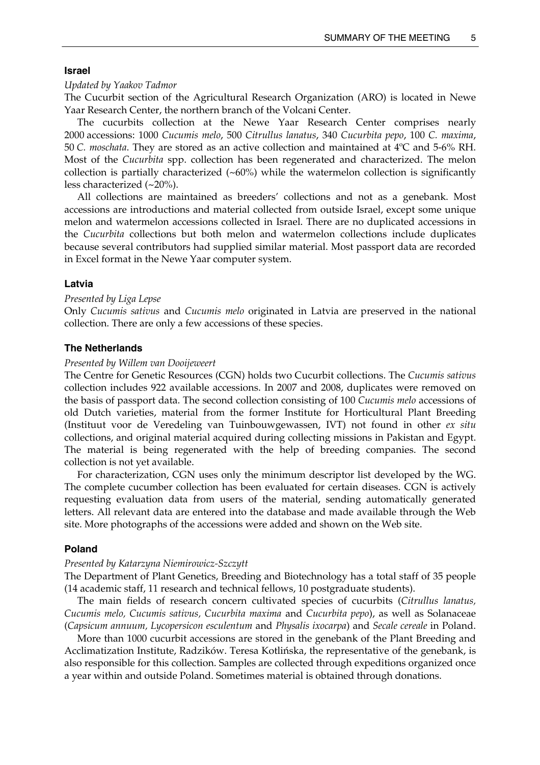#### **Israel**

#### *Updated by Yaakov Tadmor*

The Cucurbit section of the Agricultural Research Organization (ARO) is located in Newe Yaar Research Center, the northern branch of the Volcani Center.

 The cucurbits collection at the Newe Yaar Research Center comprises nearly 2000 accessions: 1000 *Cucumis melo*, 500 *Citrullus lanatus*, 340 *Cucurbita pepo*, 100 *C. maxima*, 50 *C. moschata*. They are stored as an active collection and maintained at 4ºC and 5-6% RH. Most of the *Cucurbita* spp. collection has been regenerated and characterized. The melon collection is partially characterized  $(\sim 60\%)$  while the watermelon collection is significantly less characterized (~20%).

 All collections are maintained as breeders' collections and not as a genebank. Most accessions are introductions and material collected from outside Israel, except some unique melon and watermelon accessions collected in Israel. There are no duplicated accessions in the *Cucurbita* collections but both melon and watermelon collections include duplicates because several contributors had supplied similar material. Most passport data are recorded in Excel format in the Newe Yaar computer system.

#### **Latvia**

#### *Presented by Liga Lepse*

Only *Cucumis sativus* and *Cucumis melo* originated in Latvia are preserved in the national collection. There are only a few accessions of these species.

#### **The Netherlands**

#### *Presented by Willem van Dooijeweert*

The Centre for Genetic Resources (CGN) holds two Cucurbit collections. The *Cucumis sativus* collection includes 922 available accessions. In 2007 and 2008, duplicates were removed on the basis of passport data. The second collection consisting of 100 *Cucumis melo* accessions of old Dutch varieties, material from the former Institute for Horticultural Plant Breeding (Instituut voor de Veredeling van Tuinbouwgewassen, IVT) not found in other *ex situ* collections, and original material acquired during collecting missions in Pakistan and Egypt. The material is being regenerated with the help of breeding companies. The second collection is not yet available.

 For characterization, CGN uses only the minimum descriptor list developed by the WG. The complete cucumber collection has been evaluated for certain diseases. CGN is actively requesting evaluation data from users of the material, sending automatically generated letters. All relevant data are entered into the database and made available through the Web site. More photographs of the accessions were added and shown on the Web site.

#### **Poland**

#### *Presented by Katarzyna Niemirowicz-Szczytt*

The Department of Plant Genetics, Breeding and Biotechnology has a total staff of 35 people (14 academic staff, 11 research and technical fellows, 10 postgraduate students).

 The main fields of research concern cultivated species of cucurbits (*Citrullus lanatus, Cucumis melo, Cucumis sativus, Cucurbita maxima* and *Cucurbita pepo*), as well as Solanaceae (*Capsicum annuum, Lycopersicon esculentum* and *Physalis ixocarpa*) and *Secale cereale* in Poland.

 More than 1000 cucurbit accessions are stored in the genebank of the Plant Breeding and Acclimatization Institute, Radzików. Teresa Kotlińska, the representative of the genebank, is also responsible for this collection. Samples are collected through expeditions organized once a year within and outside Poland. Sometimes material is obtained through donations.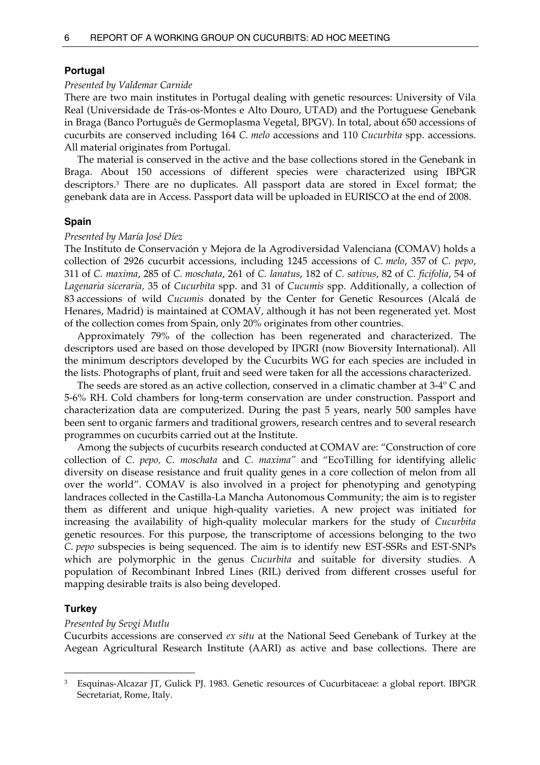#### **Portugal**

#### *Presented by Valdemar Carnide*

There are two main institutes in Portugal dealing with genetic resources: University of Vila Real (Universidade de Trás-os-Montes e Alto Douro, UTAD) and the Portuguese Genebank in Braga (Banco Português de Germoplasma Vegetal, BPGV). In total, about 650 accessions of cucurbits are conserved including 164 *C. melo* accessions and 110 *Cucurbita* spp. accessions. All material originates from Portugal.

 The material is conserved in the active and the base collections stored in the Genebank in Braga. About 150 accessions of different species were characterized using IBPGR descriptors.3 There are no duplicates. All passport data are stored in Excel format; the genebank data are in Access. Passport data will be uploaded in EURISCO at the end of 2008.

#### **Spain**

#### *Presented by María José Díez*

The Instituto de Conservación y Mejora de la Agrodiversidad Valenciana (COMAV) holds a collection of 2926 cucurbit accessions, including 1245 accessions of *C. melo*, 357 of *C. pepo*, 311 of *C. maxima*, 285 of *C. moschata*, 261 of *C. lanatus*, 182 of *C. sativus*, 82 of *C. ficifolia*, 54 of *Lagenaria siceraria,* 35 of *Cucurbita* spp. and 31 of *Cucumis* spp. Additionally, a collection of 83 accessions of wild *Cucumis* donated by the Center for Genetic Resources (Alcalá de Henares, Madrid) is maintained at COMAV, although it has not been regenerated yet. Most of the collection comes from Spain, only 20% originates from other countries.

 Approximately 79% of the collection has been regenerated and characterized. The descriptors used are based on those developed by IPGRI (now Bioversity International). All the minimum descriptors developed by the Cucurbits WG for each species are included in the lists. Photographs of plant, fruit and seed were taken for all the accessions characterized.

 The seeds are stored as an active collection, conserved in a climatic chamber at 3-4º C and 5-6% RH. Cold chambers for long-term conservation are under construction. Passport and characterization data are computerized. During the past 5 years, nearly 500 samples have been sent to organic farmers and traditional growers, research centres and to several research programmes on cucurbits carried out at the Institute.

 Among the subjects of cucurbits research conducted at COMAV are: "Construction of core collection of *C. pepo, C. moschata* and *C. maxima"* and "EcoTilling for identifying allelic diversity on disease resistance and fruit quality genes in a core collection of melon from all over the world". COMAV is also involved in a project for phenotyping and genotyping landraces collected in the Castilla-La Mancha Autonomous Community; the aim is to register them as different and unique high-quality varieties. A new project was initiated for increasing the availability of high-quality molecular markers for the study of *Cucurbita* genetic resources. For this purpose, the transcriptome of accessions belonging to the two *C. pepo* subspecies is being sequenced*.* The aim is to identify new EST-SSRs and EST-SNPs which are polymorphic in the genus *Cucurbita* and suitable for diversity studies. A population of Recombinant Inbred Lines (RIL) derived from different crosses useful for mapping desirable traits is also being developed.

#### **Turkey**

 $\overline{a}$ 

#### *Presented by Sevgi Mutlu*

Cucurbits accessions are conserved *ex situ* at the National Seed Genebank of Turkey at the Aegean Agricultural Research Institute (AARI) as active and base collections. There are

<sup>3</sup> Esquinas-Alcazar JT, Gulick PJ. 1983. Genetic resources of Cucurbitaceae: a global report. IBPGR Secretariat, Rome, Italy.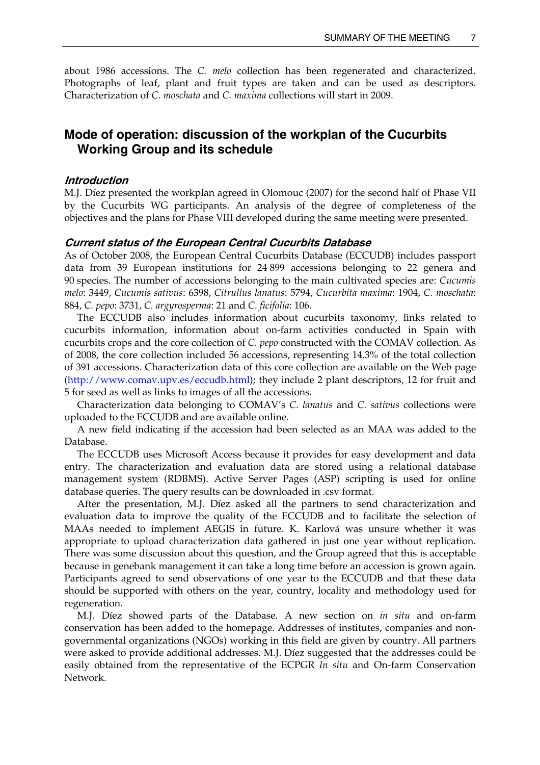about 1986 accessions. The *C. melo* collection has been regenerated and characterized. Photographs of leaf, plant and fruit types are taken and can be used as descriptors. Characterization of *C. moschata* and *C. maxima* collections will start in 2009.

## **Mode of operation: discussion of the workplan of the Cucurbits Working Group and its schedule**

#### **Introduction**

M.J. Díez presented the workplan agreed in Olomouc (2007) for the second half of Phase VII by the Cucurbits WG participants. An analysis of the degree of completeness of the objectives and the plans for Phase VIII developed during the same meeting were presented.

#### **Current status of the European Central Cucurbits Database**

As of October 2008, the European Central Cucurbits Database (ECCUDB) includes passport data from 39 European institutions for 24 899 accessions belonging to 22 genera and 90 species. The number of accessions belonging to the main cultivated species are: *Cucumis melo*: 3449, *Cucumis sativus*: 6398, *Citrullus lanatus*: 5794, *Cucurbita maxima*: 1904, *C. moschata*: 884, *C. pepo*: 3731, *C. argyrosperma*: 21 and *C. ficifolia*: 106.

 The ECCUDB also includes information about cucurbits taxonomy, links related to cucurbits information, information about on-farm activities conducted in Spain with cucurbits crops and the core collection of *C. pepo* constructed with the COMAV collection. As of 2008, the core collection included 56 accessions, representing 14.3% of the total collection of 391 accessions. Characterization data of this core collection are available on the Web page (http://www.comav.upv.es/eccudb.html); they include 2 plant descriptors, 12 for fruit and 5 for seed as well as links to images of all the accessions.

 Characterization data belonging to COMAV's *C. lanatus* and *C. sativus* collections were uploaded to the ECCUDB and are available online.

 A new field indicating if the accession had been selected as an MAA was added to the Database.

 The ECCUDB uses Microsoft Access because it provides for easy development and data entry. The characterization and evaluation data are stored using a relational database management system (RDBMS). Active Server Pages (ASP) scripting is used for online database queries. The query results can be downloaded in .csv format.

 After the presentation, M.J. Díez asked all the partners to send characterization and evaluation data to improve the quality of the ECCUDB and to facilitate the selection of MAAs needed to implement AEGIS in future. K. Karlová was unsure whether it was appropriate to upload characterization data gathered in just one year without replication. There was some discussion about this question, and the Group agreed that this is acceptable because in genebank management it can take a long time before an accession is grown again. Participants agreed to send observations of one year to the ECCUDB and that these data should be supported with others on the year, country, locality and methodology used for regeneration.

 M.J. Díez showed parts of the Database. A new section on *in situ* and on-farm conservation has been added to the homepage. Addresses of institutes, companies and nongovernmental organizations (NGOs) working in this field are given by country. All partners were asked to provide additional addresses. M.J. Díez suggested that the addresses could be easily obtained from the representative of the ECPGR *In situ* and On-farm Conservation Network.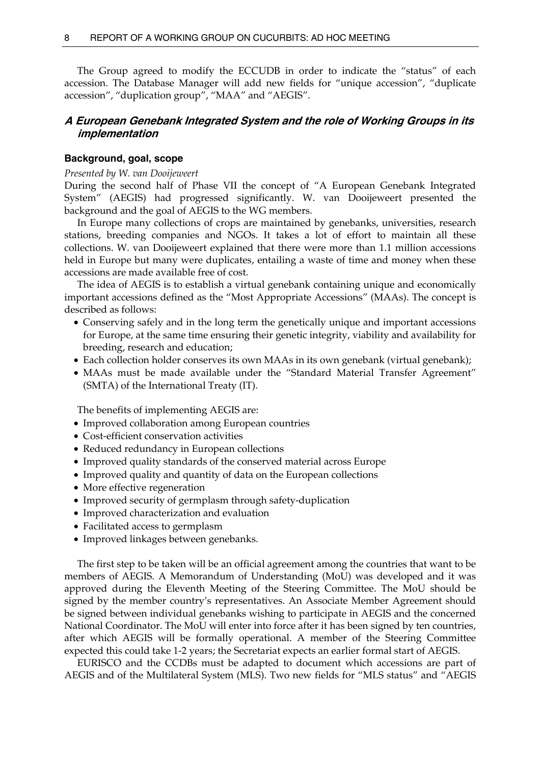The Group agreed to modify the ECCUDB in order to indicate the "status" of each accession. The Database Manager will add new fields for "unique accession", "duplicate accession", "duplication group", "MAA" and "AEGIS".

## **A European Genebank Integrated System and the role of Working Groups in its implementation**

#### **Background, goal, scope**

#### *Presented by W. van Dooijeweert*

During the second half of Phase VII the concept of "A European Genebank Integrated System" (AEGIS) had progressed significantly. W. van Dooijeweert presented the background and the goal of AEGIS to the WG members.

 In Europe many collections of crops are maintained by genebanks, universities, research stations, breeding companies and NGOs. It takes a lot of effort to maintain all these collections. W. van Dooijeweert explained that there were more than 1.1 million accessions held in Europe but many were duplicates, entailing a waste of time and money when these accessions are made available free of cost.

 The idea of AEGIS is to establish a virtual genebank containing unique and economically important accessions defined as the "Most Appropriate Accessions" (MAAs). The concept is described as follows:

- Conserving safely and in the long term the genetically unique and important accessions for Europe, at the same time ensuring their genetic integrity, viability and availability for breeding, research and education;
- Each collection holder conserves its own MAAs in its own genebank (virtual genebank);
- MAAs must be made available under the "Standard Material Transfer Agreement" (SMTA) of the International Treaty (IT).

The benefits of implementing AEGIS are:

- Improved collaboration among European countries
- Cost-efficient conservation activities
- Reduced redundancy in European collections
- Improved quality standards of the conserved material across Europe
- Improved quality and quantity of data on the European collections
- More effective regeneration
- Improved security of germplasm through safety-duplication
- Improved characterization and evaluation
- Facilitated access to germplasm
- Improved linkages between genebanks.

 The first step to be taken will be an official agreement among the countries that want to be members of AEGIS. A Memorandum of Understanding (MoU) was developed and it was approved during the Eleventh Meeting of the Steering Committee. The MoU should be signed by the member country's representatives. An Associate Member Agreement should be signed between individual genebanks wishing to participate in AEGIS and the concerned National Coordinator. The MoU will enter into force after it has been signed by ten countries, after which AEGIS will be formally operational. A member of the Steering Committee expected this could take 1-2 years; the Secretariat expects an earlier formal start of AEGIS.

 EURISCO and the CCDBs must be adapted to document which accessions are part of AEGIS and of the Multilateral System (MLS). Two new fields for "MLS status" and "AEGIS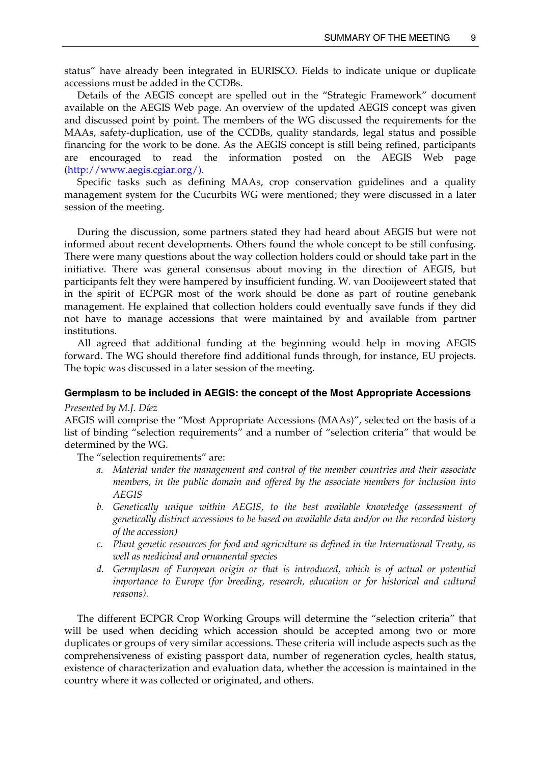status" have already been integrated in EURISCO. Fields to indicate unique or duplicate accessions must be added in the CCDBs.

 Details of the AEGIS concept are spelled out in the "Strategic Framework" document available on the AEGIS Web page. An overview of the updated AEGIS concept was given and discussed point by point. The members of the WG discussed the requirements for the MAAs, safety-duplication, use of the CCDBs, quality standards, legal status and possible financing for the work to be done. As the AEGIS concept is still being refined, participants are encouraged to read the information posted on the AEGIS Web page (http://www.aegis.cgiar.org/).

 Specific tasks such as defining MAAs, crop conservation guidelines and a quality management system for the Cucurbits WG were mentioned; they were discussed in a later session of the meeting.

 During the discussion, some partners stated they had heard about AEGIS but were not informed about recent developments. Others found the whole concept to be still confusing. There were many questions about the way collection holders could or should take part in the initiative. There was general consensus about moving in the direction of AEGIS, but participants felt they were hampered by insufficient funding. W. van Dooijeweert stated that in the spirit of ECPGR most of the work should be done as part of routine genebank management. He explained that collection holders could eventually save funds if they did not have to manage accessions that were maintained by and available from partner institutions.

 All agreed that additional funding at the beginning would help in moving AEGIS forward. The WG should therefore find additional funds through, for instance, EU projects. The topic was discussed in a later session of the meeting.

#### **Germplasm to be included in AEGIS: the concept of the Most Appropriate Accessions**

#### *Presented by M.J. Díez*

AEGIS will comprise the "Most Appropriate Accessions (MAAs)", selected on the basis of a list of binding "selection requirements" and a number of "selection criteria" that would be determined by the WG.

The "selection requirements" are:

- *a. Material under the management and control of the member countries and their associate members, in the public domain and offered by the associate members for inclusion into AEGIS*
- *b. Genetically unique within AEGIS, to the best available knowledge (assessment of genetically distinct accessions to be based on available data and/or on the recorded history of the accession)*
- *c. Plant genetic resources for food and agriculture as defined in the International Treaty, as well as medicinal and ornamental species*
- *d. Germplasm of European origin or that is introduced, which is of actual or potential importance to Europe (for breeding, research, education or for historical and cultural reasons).*

 The different ECPGR Crop Working Groups will determine the "selection criteria" that will be used when deciding which accession should be accepted among two or more duplicates or groups of very similar accessions. These criteria will include aspects such as the comprehensiveness of existing passport data, number of regeneration cycles, health status, existence of characterization and evaluation data, whether the accession is maintained in the country where it was collected or originated, and others.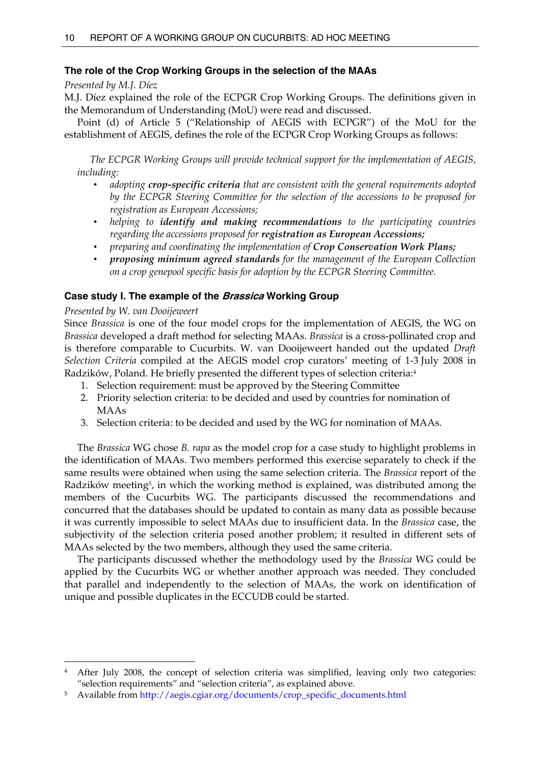## **The role of the Crop Working Groups in the selection of the MAAs**

#### *Presented by M.J. Díez*

M.J. Díez explained the role of the ECPGR Crop Working Groups. The definitions given in the Memorandum of Understanding (MoU) were read and discussed.

 Point (d) of Article 5 ("Relationship of AEGIS with ECPGR") of the MoU for the establishment of AEGIS, defines the role of the ECPGR Crop Working Groups as follows:

 *The ECPGR Working Groups will provide technical support for the implementation of AEGIS, including:* 

- *adopting crop-specific criteria that are consistent with the general requirements adopted by the ECPGR Steering Committee for the selection of the accessions to be proposed for registration as European Accessions;*
- *helping to identify and making recommendations to the participating countries regarding the accessions proposed for registration as European Accessions;*
- *preparing and coordinating the implementation of Crop Conservation Work Plans;*
- *proposing minimum agreed standards for the management of the European Collection on a crop genepool specific basis for adoption by the ECPGR Steering Committee.*

## **Case study I. The example of the Brassica Working Group**

## *Presented by W. van Dooijeweert*

 $\ddot{\phantom{a}}$ 

Since *Brassica* is one of the four model crops for the implementation of AEGIS, the WG on *Brassica* developed a draft method for selecting MAAs. *Brassica* is a cross-pollinated crop and is therefore comparable to Cucurbits. W. van Dooijeweert handed out the updated *Draft Selection Criteria* compiled at the AEGIS model crop curators' meeting of 1-3 July 2008 in Radzików, Poland. He briefly presented the different types of selection criteria:4

- 1. Selection requirement: must be approved by the Steering Committee
- 2. Priority selection criteria: to be decided and used by countries for nomination of MAAs
- 3. Selection criteria: to be decided and used by the WG for nomination of MAAs.

 The *Brassica* WG chose *B. rapa* as the model crop for a case study to highlight problems in the identification of MAAs. Two members performed this exercise separately to check if the same results were obtained when using the same selection criteria. The *Brassica* report of the Radzików meeting5, in which the working method is explained, was distributed among the members of the Cucurbits WG. The participants discussed the recommendations and concurred that the databases should be updated to contain as many data as possible because it was currently impossible to select MAAs due to insufficient data. In the *Brassica* case, the subjectivity of the selection criteria posed another problem; it resulted in different sets of MAAs selected by the two members, although they used the same criteria.

 The participants discussed whether the methodology used by the *Brassica* WG could be applied by the Cucurbits WG or whether another approach was needed. They concluded that parallel and independently to the selection of MAAs, the work on identification of unique and possible duplicates in the ECCUDB could be started.

After July 2008, the concept of selection criteria was simplified, leaving only two categories: "selection requirements" and "selection criteria", as explained above.

<sup>5</sup> Available from http://aegis.cgiar.org/documents/crop\_specific\_documents.html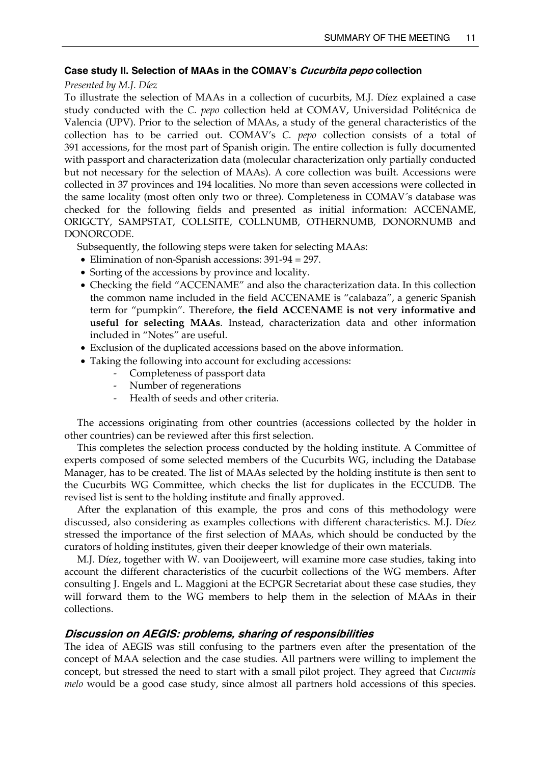#### **Case study II. Selection of MAAs in the COMAV's Cucurbita pepo collection**

#### *Presented by M.J. Díez*

To illustrate the selection of MAAs in a collection of cucurbits, M.J. Díez explained a case study conducted with the *C. pepo* collection held at COMAV, Universidad Politécnica de Valencia (UPV). Prior to the selection of MAAs, a study of the general characteristics of the collection has to be carried out. COMAV's *C. pepo* collection consists of a total of 391 accessions, for the most part of Spanish origin. The entire collection is fully documented with passport and characterization data (molecular characterization only partially conducted but not necessary for the selection of MAAs). A core collection was built. Accessions were collected in 37 provinces and 194 localities. No more than seven accessions were collected in the same locality (most often only two or three). Completeness in COMAV´s database was checked for the following fields and presented as initial information: ACCENAME, ORIGCTY, SAMPSTAT, COLLSITE, COLLNUMB, OTHERNUMB, DONORNUMB and DONORCODE.

Subsequently, the following steps were taken for selecting MAAs:

- Elimination of non-Spanish accessions: 391-94 = 297.
- Sorting of the accessions by province and locality.
- Checking the field "ACCENAME" and also the characterization data. In this collection the common name included in the field ACCENAME is "calabaza", a generic Spanish term for "pumpkin". Therefore, **the field ACCENAME is not very informative and useful for selecting MAAs**. Instead, characterization data and other information included in "Notes" are useful.
- Exclusion of the duplicated accessions based on the above information.
- Taking the following into account for excluding accessions:
	- Completeness of passport data
	- Number of regenerations
	- Health of seeds and other criteria.

 The accessions originating from other countries (accessions collected by the holder in other countries) can be reviewed after this first selection.

 This completes the selection process conducted by the holding institute. A Committee of experts composed of some selected members of the Cucurbits WG, including the Database Manager, has to be created. The list of MAAs selected by the holding institute is then sent to the Cucurbits WG Committee, which checks the list for duplicates in the ECCUDB. The revised list is sent to the holding institute and finally approved.

 After the explanation of this example, the pros and cons of this methodology were discussed, also considering as examples collections with different characteristics. M.J. Díez stressed the importance of the first selection of MAAs, which should be conducted by the curators of holding institutes, given their deeper knowledge of their own materials.

 M.J. Díez, together with W. van Dooijeweert, will examine more case studies, taking into account the different characteristics of the cucurbit collections of the WG members. After consulting J. Engels and L. Maggioni at the ECPGR Secretariat about these case studies, they will forward them to the WG members to help them in the selection of MAAs in their collections.

#### **Discussion on AEGIS: problems, sharing of responsibilities**

The idea of AEGIS was still confusing to the partners even after the presentation of the concept of MAA selection and the case studies. All partners were willing to implement the concept, but stressed the need to start with a small pilot project. They agreed that *Cucumis melo* would be a good case study, since almost all partners hold accessions of this species.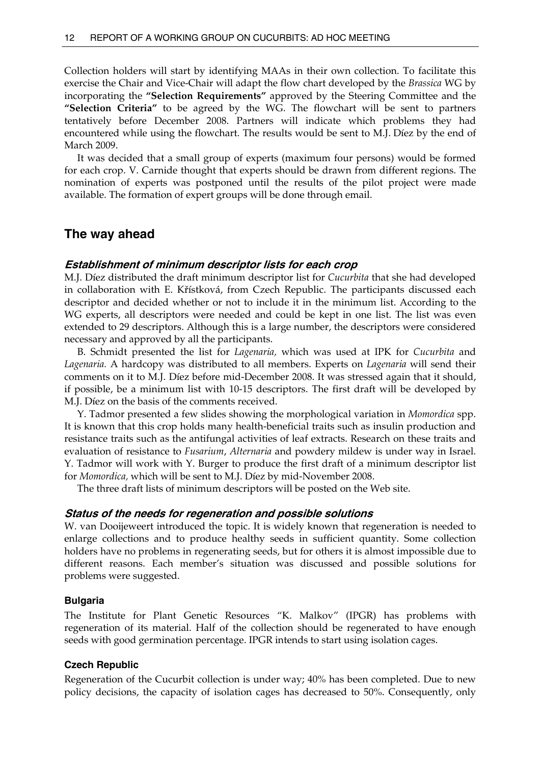Collection holders will start by identifying MAAs in their own collection. To facilitate this exercise the Chair and Vice-Chair will adapt the flow chart developed by the *Brassica* WG by incorporating the **"Selection Requirements"** approved by the Steering Committee and the **"Selection Criteria"** to be agreed by the WG. The flowchart will be sent to partners tentatively before December 2008. Partners will indicate which problems they had encountered while using the flowchart. The results would be sent to M.J. Díez by the end of March 2009.

 It was decided that a small group of experts (maximum four persons) would be formed for each crop. V. Carnide thought that experts should be drawn from different regions. The nomination of experts was postponed until the results of the pilot project were made available. The formation of expert groups will be done through email.

## **The way ahead**

#### **Establishment of minimum descriptor lists for each crop**

M.J. Díez distributed the draft minimum descriptor list for *Cucurbita* that she had developed in collaboration with E. Křístková, from Czech Republic. The participants discussed each descriptor and decided whether or not to include it in the minimum list. According to the WG experts, all descriptors were needed and could be kept in one list. The list was even extended to 29 descriptors. Although this is a large number, the descriptors were considered necessary and approved by all the participants.

 B. Schmidt presented the list for *Lagenaria,* which was used at IPK for *Cucurbita* and *Lagenaria.* A hardcopy was distributed to all members. Experts on *Lagenaria* will send their comments on it to M.J. Díez before mid-December 2008. It was stressed again that it should, if possible, be a minimum list with 10-15 descriptors. The first draft will be developed by M.J. Díez on the basis of the comments received.

 Y. Tadmor presented a few slides showing the morphological variation in *Momordica* spp. It is known that this crop holds many health-beneficial traits such as insulin production and resistance traits such as the antifungal activities of leaf extracts. Research on these traits and evaluation of resistance to *Fusarium*, *Alternaria* and powdery mildew is under way in Israel. Y. Tadmor will work with Y. Burger to produce the first draft of a minimum descriptor list for *Momordica,* which will be sent to M.J. Díez by mid-November 2008.

The three draft lists of minimum descriptors will be posted on the Web site.

#### **Status of the needs for regeneration and possible solutions**

W. van Dooijeweert introduced the topic. It is widely known that regeneration is needed to enlarge collections and to produce healthy seeds in sufficient quantity. Some collection holders have no problems in regenerating seeds, but for others it is almost impossible due to different reasons. Each member's situation was discussed and possible solutions for problems were suggested.

#### **Bulgaria**

The Institute for Plant Genetic Resources "K. Malkov" (IPGR) has problems with regeneration of its material. Half of the collection should be regenerated to have enough seeds with good germination percentage. IPGR intends to start using isolation cages.

#### **Czech Republic**

Regeneration of the Cucurbit collection is under way; 40% has been completed. Due to new policy decisions, the capacity of isolation cages has decreased to 50%. Consequently, only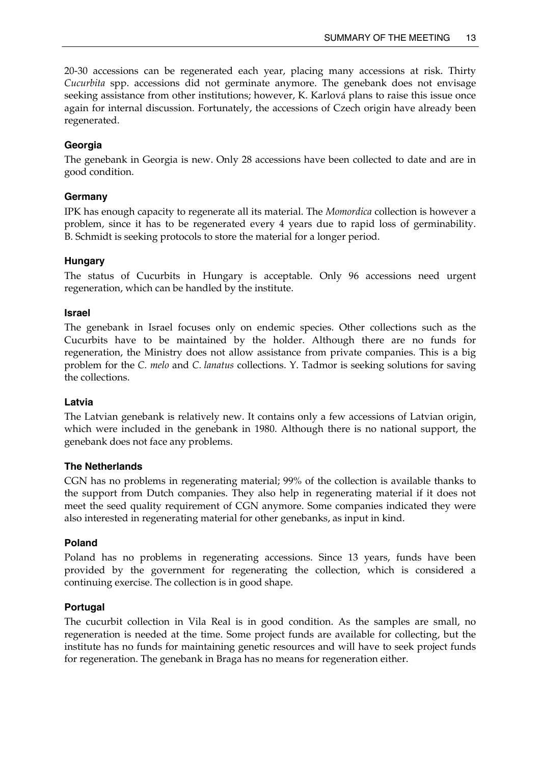20-30 accessions can be regenerated each year, placing many accessions at risk. Thirty *Cucurbita* spp. accessions did not germinate anymore. The genebank does not envisage seeking assistance from other institutions; however, K. Karlová plans to raise this issue once again for internal discussion. Fortunately, the accessions of Czech origin have already been regenerated.

## **Georgia**

The genebank in Georgia is new. Only 28 accessions have been collected to date and are in good condition.

## **Germany**

IPK has enough capacity to regenerate all its material. The *Momordica* collection is however a problem, since it has to be regenerated every 4 years due to rapid loss of germinability. B. Schmidt is seeking protocols to store the material for a longer period.

## **Hungary**

The status of Cucurbits in Hungary is acceptable. Only 96 accessions need urgent regeneration, which can be handled by the institute.

## **Israel**

The genebank in Israel focuses only on endemic species. Other collections such as the Cucurbits have to be maintained by the holder. Although there are no funds for regeneration, the Ministry does not allow assistance from private companies. This is a big problem for the *C. melo* and *C. lanatus* collections. Y. Tadmor is seeking solutions for saving the collections.

## **Latvia**

The Latvian genebank is relatively new. It contains only a few accessions of Latvian origin, which were included in the genebank in 1980. Although there is no national support, the genebank does not face any problems.

## **The Netherlands**

CGN has no problems in regenerating material; 99% of the collection is available thanks to the support from Dutch companies. They also help in regenerating material if it does not meet the seed quality requirement of CGN anymore. Some companies indicated they were also interested in regenerating material for other genebanks, as input in kind.

## **Poland**

Poland has no problems in regenerating accessions. Since 13 years, funds have been provided by the government for regenerating the collection, which is considered a continuing exercise. The collection is in good shape.

## **Portugal**

The cucurbit collection in Vila Real is in good condition. As the samples are small, no regeneration is needed at the time. Some project funds are available for collecting, but the institute has no funds for maintaining genetic resources and will have to seek project funds for regeneration. The genebank in Braga has no means for regeneration either.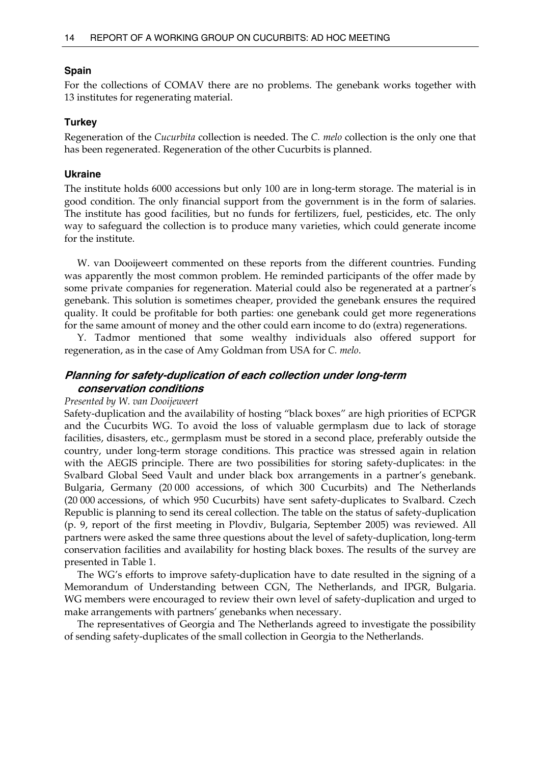#### **Spain**

For the collections of COMAV there are no problems. The genebank works together with 13 institutes for regenerating material.

#### **Turkey**

Regeneration of the *Cucurbita* collection is needed. The *C. melo* collection is the only one that has been regenerated. Regeneration of the other Cucurbits is planned.

#### **Ukraine**

The institute holds 6000 accessions but only 100 are in long-term storage. The material is in good condition. The only financial support from the government is in the form of salaries. The institute has good facilities, but no funds for fertilizers, fuel, pesticides, etc. The only way to safeguard the collection is to produce many varieties, which could generate income for the institute.

 W. van Dooijeweert commented on these reports from the different countries. Funding was apparently the most common problem. He reminded participants of the offer made by some private companies for regeneration. Material could also be regenerated at a partner's genebank. This solution is sometimes cheaper, provided the genebank ensures the required quality. It could be profitable for both parties: one genebank could get more regenerations for the same amount of money and the other could earn income to do (extra) regenerations.

 Y. Tadmor mentioned that some wealthy individuals also offered support for regeneration, as in the case of Amy Goldman from USA for *C. melo*.

## **Planning for safety-duplication of each collection under long-term conservation conditions**

#### *Presented by W. van Dooijeweert*

Safety-duplication and the availability of hosting "black boxes" are high priorities of ECPGR and the Cucurbits WG. To avoid the loss of valuable germplasm due to lack of storage facilities, disasters, etc., germplasm must be stored in a second place, preferably outside the country, under long-term storage conditions. This practice was stressed again in relation with the AEGIS principle. There are two possibilities for storing safety-duplicates: in the Svalbard Global Seed Vault and under black box arrangements in a partner's genebank. Bulgaria, Germany (20 000 accessions, of which 300 Cucurbits) and The Netherlands (20 000 accessions, of which 950 Cucurbits) have sent safety-duplicates to Svalbard. Czech Republic is planning to send its cereal collection. The table on the status of safety-duplication (p. 9, report of the first meeting in Plovdiv, Bulgaria, September 2005) was reviewed. All partners were asked the same three questions about the level of safety-duplication, long-term conservation facilities and availability for hosting black boxes. The results of the survey are presented in Table 1.

 The WG's efforts to improve safety-duplication have to date resulted in the signing of a Memorandum of Understanding between CGN, The Netherlands, and IPGR, Bulgaria. WG members were encouraged to review their own level of safety-duplication and urged to make arrangements with partners' genebanks when necessary.

 The representatives of Georgia and The Netherlands agreed to investigate the possibility of sending safety-duplicates of the small collection in Georgia to the Netherlands.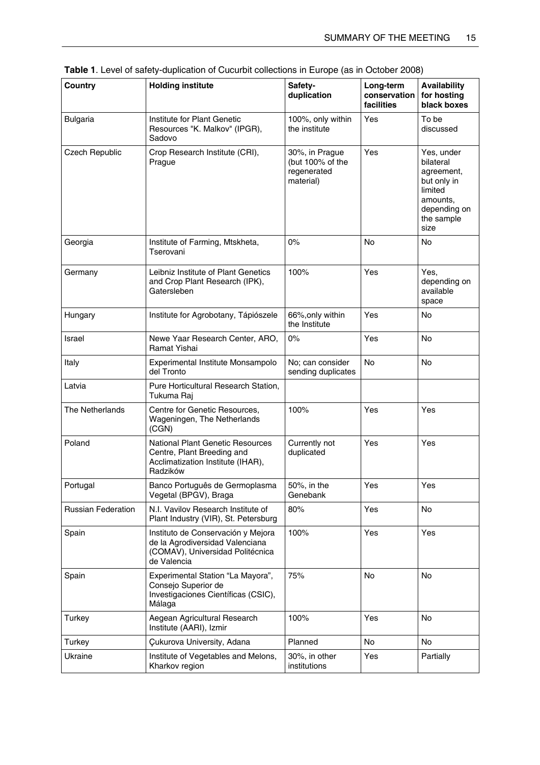| Country                   | <b>Holding institute</b>                                                                                                 | Safety-<br>duplication                                         | Long-term<br>conservation<br>facilities | <b>Availability</b><br>for hosting<br>black boxes                                                                 |
|---------------------------|--------------------------------------------------------------------------------------------------------------------------|----------------------------------------------------------------|-----------------------------------------|-------------------------------------------------------------------------------------------------------------------|
| <b>Bulgaria</b>           | Institute for Plant Genetic<br>Resources "K. Malkov" (IPGR),<br>Sadovo                                                   | 100%, only within<br>the institute                             | Yes                                     | To be<br>discussed                                                                                                |
| Czech Republic            | Crop Research Institute (CRI),<br>Prague                                                                                 | 30%, in Prague<br>(but 100% of the<br>regenerated<br>material) | Yes                                     | Yes, under<br>bilateral<br>agreement,<br>but only in<br>limited<br>amounts,<br>depending on<br>the sample<br>size |
| Georgia                   | Institute of Farming, Mtskheta,<br>Tserovani                                                                             | $0\%$                                                          | <b>No</b>                               | No                                                                                                                |
| Germany                   | Leibniz Institute of Plant Genetics<br>and Crop Plant Research (IPK),<br>Gatersleben                                     | 100%                                                           | Yes                                     | Yes.<br>depending on<br>available<br>space                                                                        |
| Hungary                   | Institute for Agrobotany, Tápiószele                                                                                     | 66%, only within<br>the Institute                              | Yes                                     | <b>No</b>                                                                                                         |
| Israel                    | Newe Yaar Research Center, ARO,<br>Ramat Yishai                                                                          | $0\%$                                                          | Yes                                     | No                                                                                                                |
| Italy                     | Experimental Institute Monsampolo<br>del Tronto                                                                          | No; can consider<br>sending duplicates                         | No                                      | No                                                                                                                |
| Latvia                    | Pure Horticultural Research Station,<br>Tukuma Raj                                                                       |                                                                |                                         |                                                                                                                   |
| The Netherlands           | Centre for Genetic Resources,<br>Wageningen, The Netherlands<br>(CGN)                                                    | 100%                                                           | Yes                                     | Yes                                                                                                               |
| Poland                    | <b>National Plant Genetic Resources</b><br>Centre, Plant Breeding and<br>Acclimatization Institute (IHAR),<br>Radzików   | Currently not<br>duplicated                                    | Yes                                     | Yes                                                                                                               |
| Portugal                  | Banco Português de Germoplasma<br>Vegetal (BPGV), Braga                                                                  | 50%, in the<br>Genebank                                        | Yes                                     | Yes                                                                                                               |
| <b>Russian Federation</b> | N.I. Vavilov Research Institute of<br>Plant Industry (VIR), St. Petersburg                                               | 80%                                                            | Yes                                     | No                                                                                                                |
| Spain                     | Instituto de Conservación y Mejora<br>de la Agrodiversidad Valenciana<br>(COMAV), Universidad Politécnica<br>de Valencia | 100%                                                           | Yes                                     | Yes                                                                                                               |
| Spain                     | Experimental Station "La Mayora",<br>Consejo Superior de<br>Investigaciones Científicas (CSIC),<br>Málaga                | 75%                                                            | <b>No</b>                               | <b>No</b>                                                                                                         |
| Turkey                    | Aegean Agricultural Research<br>Institute (AARI), Izmir                                                                  | 100%                                                           | Yes                                     | <b>No</b>                                                                                                         |
| Turkey                    | Çukurova University, Adana                                                                                               | Planned                                                        | No                                      | No                                                                                                                |
| Ukraine                   | Institute of Vegetables and Melons,<br>Kharkov region                                                                    | 30%, in other<br>institutions                                  | Yes                                     | Partially                                                                                                         |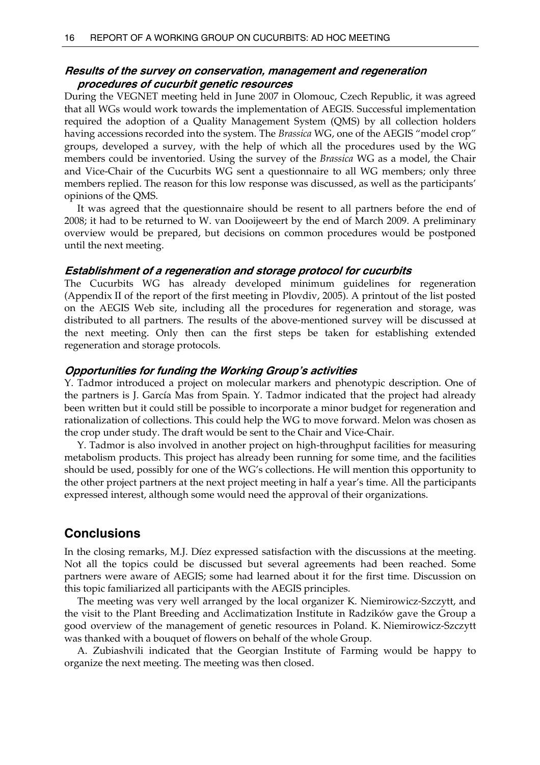#### **Results of the survey on conservation, management and regeneration procedures of cucurbit genetic resources**

During the VEGNET meeting held in June 2007 in Olomouc, Czech Republic, it was agreed that all WGs would work towards the implementation of AEGIS. Successful implementation required the adoption of a Quality Management System (QMS) by all collection holders having accessions recorded into the system. The *Brassica* WG, one of the AEGIS "model crop" groups, developed a survey, with the help of which all the procedures used by the WG members could be inventoried. Using the survey of the *Brassica* WG as a model, the Chair and Vice-Chair of the Cucurbits WG sent a questionnaire to all WG members; only three members replied. The reason for this low response was discussed, as well as the participants' opinions of the QMS.

 It was agreed that the questionnaire should be resent to all partners before the end of 2008; it had to be returned to W. van Dooijeweert by the end of March 2009. A preliminary overview would be prepared, but decisions on common procedures would be postponed until the next meeting.

#### **Establishment of a regeneration and storage protocol for cucurbits**

The Cucurbits WG has already developed minimum guidelines for regeneration (Appendix II of the report of the first meeting in Plovdiv, 2005). A printout of the list posted on the AEGIS Web site, including all the procedures for regeneration and storage, was distributed to all partners. The results of the above-mentioned survey will be discussed at the next meeting. Only then can the first steps be taken for establishing extended regeneration and storage protocols.

#### **Opportunities for funding the Working Group's activities**

Y. Tadmor introduced a project on molecular markers and phenotypic description. One of the partners is J. García Mas from Spain. Y. Tadmor indicated that the project had already been written but it could still be possible to incorporate a minor budget for regeneration and rationalization of collections. This could help the WG to move forward. Melon was chosen as the crop under study. The draft would be sent to the Chair and Vice-Chair.

 Y. Tadmor is also involved in another project on high-throughput facilities for measuring metabolism products. This project has already been running for some time, and the facilities should be used, possibly for one of the WG's collections. He will mention this opportunity to the other project partners at the next project meeting in half a year's time. All the participants expressed interest, although some would need the approval of their organizations.

## **Conclusions**

In the closing remarks, M.J. Díez expressed satisfaction with the discussions at the meeting. Not all the topics could be discussed but several agreements had been reached. Some partners were aware of AEGIS; some had learned about it for the first time. Discussion on this topic familiarized all participants with the AEGIS principles.

 The meeting was very well arranged by the local organizer K. Niemirowicz-Szczytt, and the visit to the Plant Breeding and Acclimatization Institute in Radzików gave the Group a good overview of the management of genetic resources in Poland. K. Niemirowicz-Szczytt was thanked with a bouquet of flowers on behalf of the whole Group.

 A. Zubiashvili indicated that the Georgian Institute of Farming would be happy to organize the next meeting. The meeting was then closed.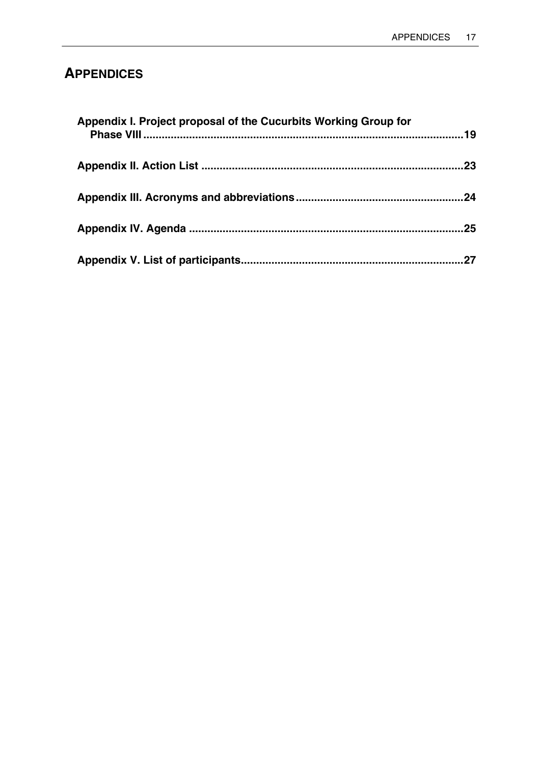## **APPENDICES**

| Appendix I. Project proposal of the Cucurbits Working Group for |     |
|-----------------------------------------------------------------|-----|
|                                                                 | .23 |
|                                                                 | .24 |
|                                                                 | .25 |
|                                                                 | 27  |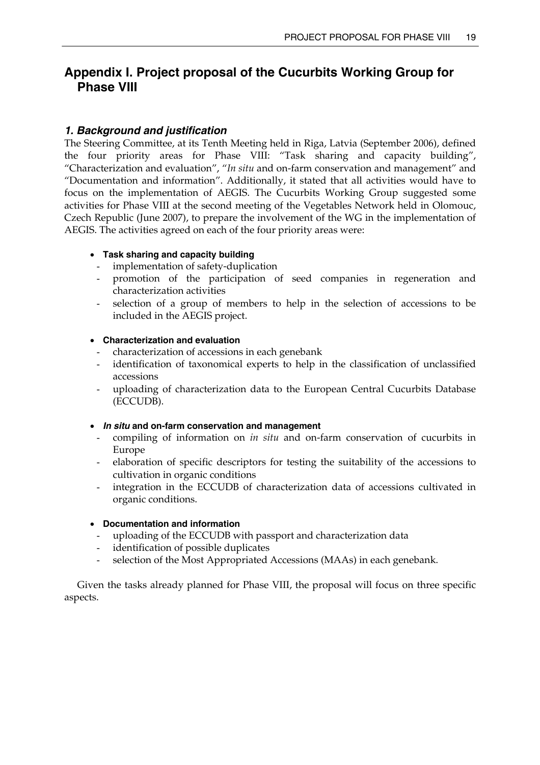## **Appendix I. Project proposal of the Cucurbits Working Group for Phase VIII**

## *1. Background and justification*

The Steering Committee, at its Tenth Meeting held in Riga, Latvia (September 2006), defined the four priority areas for Phase VIII: "Task sharing and capacity building", "Characterization and evaluation", "*In situ* and on-farm conservation and management" and "Documentation and information". Additionally, it stated that all activities would have to focus on the implementation of AEGIS. The Cucurbits Working Group suggested some activities for Phase VIII at the second meeting of the Vegetables Network held in Olomouc, Czech Republic (June 2007), to prepare the involvement of the WG in the implementation of AEGIS. The activities agreed on each of the four priority areas were:

## • **Task sharing and capacity building**

- implementation of safety-duplication
- promotion of the participation of seed companies in regeneration and characterization activities
- selection of a group of members to help in the selection of accessions to be included in the AEGIS project.

#### • **Characterization and evaluation**

- characterization of accessions in each genebank
- identification of taxonomical experts to help in the classification of unclassified accessions
- uploading of characterization data to the European Central Cucurbits Database (ECCUDB).

#### • *In situ* **and on-farm conservation and management**

- compiling of information on *in situ* and on-farm conservation of cucurbits in Europe
- elaboration of specific descriptors for testing the suitability of the accessions to cultivation in organic conditions
- integration in the ECCUDB of characterization data of accessions cultivated in organic conditions.

#### • **Documentation and information**

- uploading of the ECCUDB with passport and characterization data
- identification of possible duplicates
- selection of the Most Appropriated Accessions (MAAs) in each genebank.

 Given the tasks already planned for Phase VIII, the proposal will focus on three specific aspects.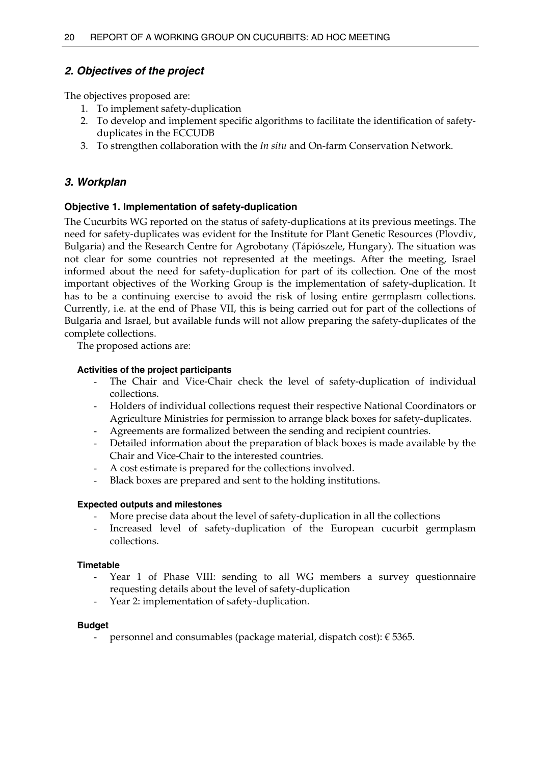## *2. Objectives of the project*

The objectives proposed are:

- 1. To implement safety-duplication
- 2. To develop and implement specific algorithms to facilitate the identification of safetyduplicates in the ECCUDB
- 3. To strengthen collaboration with the *In situ* and On-farm Conservation Network.

## *3. Workplan*

## **Objective 1. Implementation of safety-duplication**

The Cucurbits WG reported on the status of safety-duplications at its previous meetings. The need for safety-duplicates was evident for the Institute for Plant Genetic Resources (Plovdiv, Bulgaria) and the Research Centre for Agrobotany (Tápiószele, Hungary). The situation was not clear for some countries not represented at the meetings. After the meeting, Israel informed about the need for safety-duplication for part of its collection. One of the most important objectives of the Working Group is the implementation of safety-duplication. It has to be a continuing exercise to avoid the risk of losing entire germplasm collections. Currently, i.e. at the end of Phase VII, this is being carried out for part of the collections of Bulgaria and Israel, but available funds will not allow preparing the safety-duplicates of the complete collections.

The proposed actions are:

#### **Activities of the project participants**

- The Chair and Vice-Chair check the level of safety-duplication of individual collections.
- Holders of individual collections request their respective National Coordinators or Agriculture Ministries for permission to arrange black boxes for safety-duplicates.
- Agreements are formalized between the sending and recipient countries.
- Detailed information about the preparation of black boxes is made available by the Chair and Vice-Chair to the interested countries.
- A cost estimate is prepared for the collections involved.
- Black boxes are prepared and sent to the holding institutions.

## **Expected outputs and milestones**

- More precise data about the level of safety-duplication in all the collections
- Increased level of safety-duplication of the European cucurbit germplasm collections.

#### **Timetable**

- Year 1 of Phase VIII: sending to all WG members a survey questionnaire requesting details about the level of safety-duplication
- Year 2: implementation of safety-duplication.

#### **Budget**

personnel and consumables (package material, dispatch cost):  $\epsilon$  5365.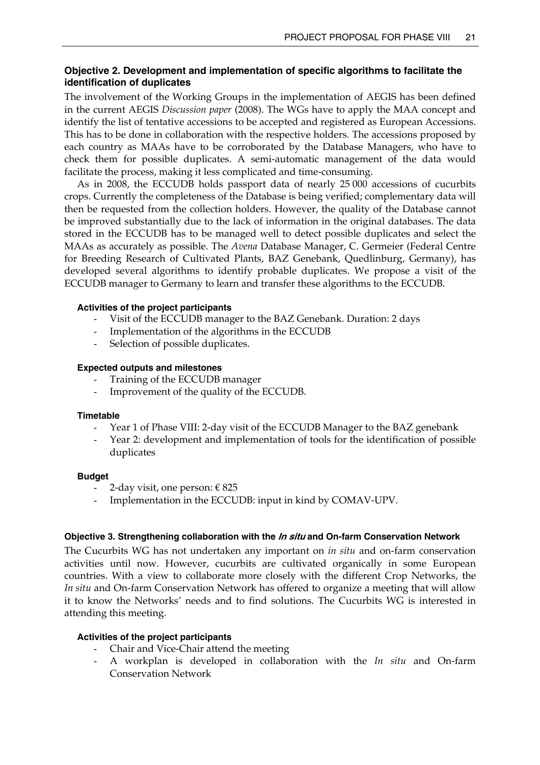## **Objective 2. Development and implementation of specific algorithms to facilitate the identification of duplicates**

The involvement of the Working Groups in the implementation of AEGIS has been defined in the current AEGIS *Discussion paper* (2008). The WGs have to apply the MAA concept and identify the list of tentative accessions to be accepted and registered as European Accessions. This has to be done in collaboration with the respective holders. The accessions proposed by each country as MAAs have to be corroborated by the Database Managers, who have to check them for possible duplicates. A semi-automatic management of the data would facilitate the process, making it less complicated and time-consuming.

 As in 2008, the ECCUDB holds passport data of nearly 25 000 accessions of cucurbits crops. Currently the completeness of the Database is being verified; complementary data will then be requested from the collection holders. However, the quality of the Database cannot be improved substantially due to the lack of information in the original databases. The data stored in the ECCUDB has to be managed well to detect possible duplicates and select the MAAs as accurately as possible. The *Avena* Database Manager, C. Germeier (Federal Centre for Breeding Research of Cultivated Plants, BAZ Genebank, Quedlinburg, Germany), has developed several algorithms to identify probable duplicates. We propose a visit of the ECCUDB manager to Germany to learn and transfer these algorithms to the ECCUDB.

#### **Activities of the project participants**

- Visit of the ECCUDB manager to the BAZ Genebank. Duration: 2 days
- Implementation of the algorithms in the ECCUDB
- Selection of possible duplicates.

#### **Expected outputs and milestones**

- Training of the ECCUDB manager
- Improvement of the quality of the ECCUDB.

#### **Timetable**

- Year 1 of Phase VIII: 2-day visit of the ECCUDB Manager to the BAZ genebank
- Year 2: development and implementation of tools for the identification of possible duplicates

#### **Budget**

- 2-day visit, one person:  $\epsilon$  825
- Implementation in the ECCUDB: input in kind by COMAV-UPV.

#### **Objective 3. Strengthening collaboration with the In situ and On-farm Conservation Network**

The Cucurbits WG has not undertaken any important on *in situ* and on-farm conservation activities until now. However, cucurbits are cultivated organically in some European countries. With a view to collaborate more closely with the different Crop Networks, the *In situ* and On-farm Conservation Network has offered to organize a meeting that will allow it to know the Networks' needs and to find solutions. The Cucurbits WG is interested in attending this meeting.

## **Activities of the project participants**

- Chair and Vice-Chair attend the meeting
- A workplan is developed in collaboration with the *In situ* and On-farm Conservation Network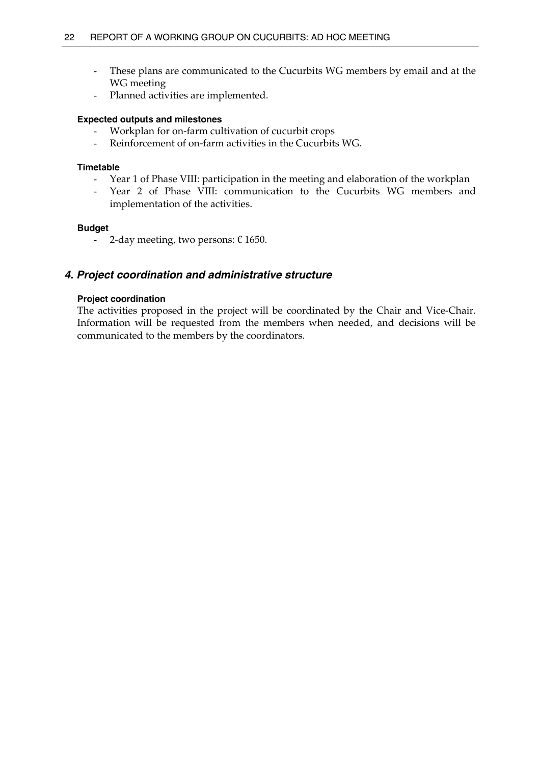- These plans are communicated to the Cucurbits WG members by email and at the WG meeting
- Planned activities are implemented.

#### **Expected outputs and milestones**

- Workplan for on-farm cultivation of cucurbit crops
- Reinforcement of on-farm activities in the Cucurbits WG.

#### **Timetable**

- Year 1 of Phase VIII: participation in the meeting and elaboration of the workplan
- Year 2 of Phase VIII: communication to the Cucurbits WG members and implementation of the activities.

#### **Budget**

- 2-day meeting, two persons:  $\epsilon$  1650.

## *4. Project coordination and administrative structure*

#### **Project coordination**

The activities proposed in the project will be coordinated by the Chair and Vice-Chair. Information will be requested from the members when needed, and decisions will be communicated to the members by the coordinators.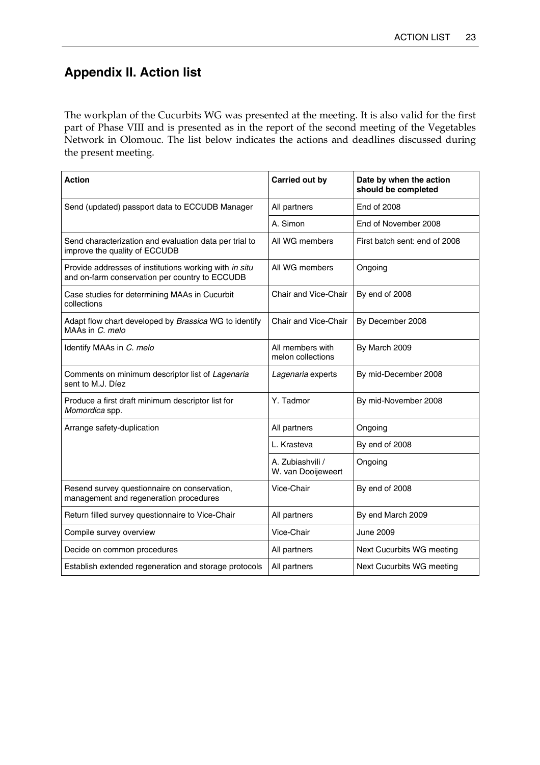## **Appendix II. Action list**

The workplan of the Cucurbits WG was presented at the meeting. It is also valid for the first part of Phase VIII and is presented as in the report of the second meeting of the Vegetables Network in Olomouc. The list below indicates the actions and deadlines discussed during the present meeting.

| <b>Action</b>                                                                                            | <b>Carried out by</b>                  | Date by when the action<br>should be completed |
|----------------------------------------------------------------------------------------------------------|----------------------------------------|------------------------------------------------|
| Send (updated) passport data to ECCUDB Manager                                                           | All partners                           | <b>End of 2008</b>                             |
|                                                                                                          | A. Simon                               | End of November 2008                           |
| Send characterization and evaluation data per trial to<br>improve the quality of ECCUDB                  | All WG members                         | First batch sent: end of 2008                  |
| Provide addresses of institutions working with in situ<br>and on-farm conservation per country to ECCUDB | All WG members                         | Ongoing                                        |
| Case studies for determining MAAs in Cucurbit<br>collections                                             | Chair and Vice-Chair                   | By end of 2008                                 |
| Adapt flow chart developed by Brassica WG to identify<br>MAAs in C. melo                                 | Chair and Vice-Chair                   | By December 2008                               |
| Identify MAAs in C. melo                                                                                 | All members with<br>melon collections  | By March 2009                                  |
| Comments on minimum descriptor list of Lagenaria<br>sent to M.J. Díez                                    | Lagenaria experts                      | By mid-December 2008                           |
| Produce a first draft minimum descriptor list for<br>Momordica spp.                                      | Y. Tadmor                              | By mid-November 2008                           |
| Arrange safety-duplication                                                                               | All partners                           | Ongoing                                        |
|                                                                                                          | L. Krasteva                            | By end of 2008                                 |
|                                                                                                          | A. Zubiashvili /<br>W. van Dooijeweert | Ongoing                                        |
| Resend survey questionnaire on conservation,<br>management and regeneration procedures                   | Vice-Chair                             | By end of 2008                                 |
| Return filled survey questionnaire to Vice-Chair                                                         | All partners                           | By end March 2009                              |
| Compile survey overview                                                                                  | Vice-Chair                             | <b>June 2009</b>                               |
| Decide on common procedures                                                                              | All partners                           | Next Cucurbits WG meeting                      |
| Establish extended regeneration and storage protocols                                                    | All partners                           | Next Cucurbits WG meeting                      |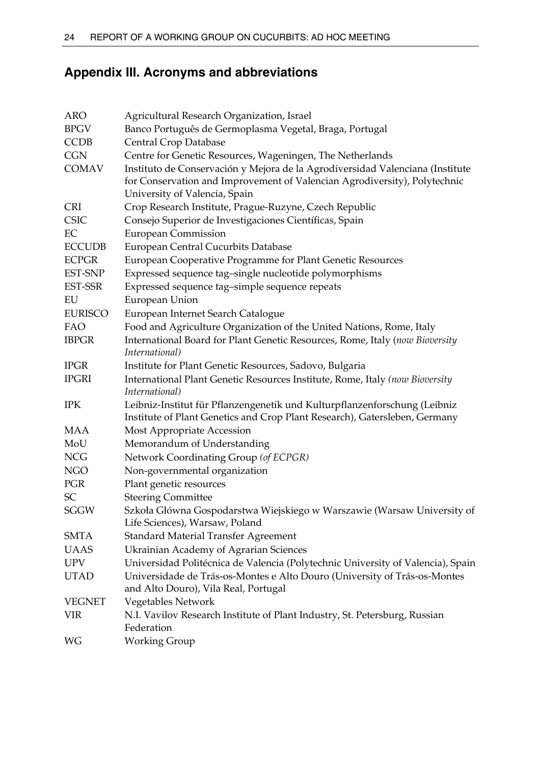## **Appendix III. Acronyms and abbreviations**

| ARO            | Agricultural Research Organization, Israel                                                                                                                                                  |
|----------------|---------------------------------------------------------------------------------------------------------------------------------------------------------------------------------------------|
| <b>BPGV</b>    | Banco Português de Germoplasma Vegetal, Braga, Portugal                                                                                                                                     |
| <b>CCDB</b>    | Central Crop Database                                                                                                                                                                       |
| <b>CGN</b>     | Centre for Genetic Resources, Wageningen, The Netherlands                                                                                                                                   |
| <b>COMAV</b>   | Instituto de Conservación y Mejora de la Agrodiversidad Valenciana (Institute<br>for Conservation and Improvement of Valencian Agrodiversity), Polytechnic<br>University of Valencia, Spain |
| <b>CRI</b>     | Crop Research Institute, Prague-Ruzyne, Czech Republic                                                                                                                                      |
| <b>CSIC</b>    | Consejo Superior de Investigaciones Científicas, Spain                                                                                                                                      |
| EC             | <b>European Commission</b>                                                                                                                                                                  |
| <b>ECCUDB</b>  | European Central Cucurbits Database                                                                                                                                                         |
| <b>ECPGR</b>   | European Cooperative Programme for Plant Genetic Resources                                                                                                                                  |
| EST-SNP        | Expressed sequence tag-single nucleotide polymorphisms                                                                                                                                      |
| EST-SSR        | Expressed sequence tag-simple sequence repeats                                                                                                                                              |
| EU             | European Union                                                                                                                                                                              |
| <b>EURISCO</b> | European Internet Search Catalogue                                                                                                                                                          |
| FAO            | Food and Agriculture Organization of the United Nations, Rome, Italy                                                                                                                        |
| <b>IBPGR</b>   | International Board for Plant Genetic Resources, Rome, Italy (now Bioversity<br>International)                                                                                              |
| <b>IPGR</b>    | Institute for Plant Genetic Resources, Sadovo, Bulgaria                                                                                                                                     |
| <b>IPGRI</b>   | International Plant Genetic Resources Institute, Rome, Italy (now Bioversity<br>International)                                                                                              |
| <b>IPK</b>     | Leibniz-Institut für Pflanzengenetik und Kulturpflanzenforschung (Leibniz<br>Institute of Plant Genetics and Crop Plant Research), Gatersleben, Germany                                     |
| MAA            | Most Appropriate Accession                                                                                                                                                                  |
| MoU            | Memorandum of Understanding                                                                                                                                                                 |
| <b>NCG</b>     | Network Coordinating Group (of ECPGR)                                                                                                                                                       |
| NGO            | Non-governmental organization                                                                                                                                                               |
| PGR            | Plant genetic resources                                                                                                                                                                     |
| SC             | <b>Steering Committee</b>                                                                                                                                                                   |
| <b>SGGW</b>    | Szkoła Główna Gospodarstwa Wiejskiego w Warszawie (Warsaw University of<br>Life Sciences), Warsaw, Poland                                                                                   |
| SMTA           | <b>Standard Material Transfer Agreement</b>                                                                                                                                                 |
| <b>UAAS</b>    | <b>Ukrainian Academy of Agrarian Sciences</b>                                                                                                                                               |
| <b>UPV</b>     | Universidad Politécnica de Valencia (Polytechnic University of Valencia), Spain                                                                                                             |
| <b>UTAD</b>    | Universidade de Trás-os-Montes e Alto Douro (University of Trás-os-Montes<br>and Alto Douro), Vila Real, Portugal                                                                           |
| <b>VEGNET</b>  | Vegetables Network                                                                                                                                                                          |
| <b>VIR</b>     | N.I. Vavilov Research Institute of Plant Industry, St. Petersburg, Russian<br>Federation                                                                                                    |
| WG             | <b>Working Group</b>                                                                                                                                                                        |
|                |                                                                                                                                                                                             |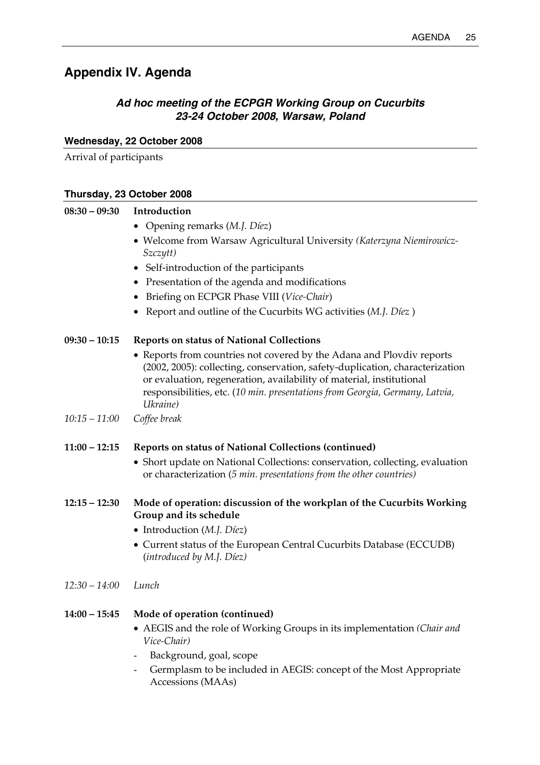## **Appendix IV. Agenda**

## *Ad hoc meeting of the ECPGR Working Group on Cucurbits 23-24 October 2008, Warsaw, Poland*

## **Wednesday, 22 October 2008**

Arrival of participants

# **Thursday, 23 October 2008**

| $08:30 - 09:30$ | Introduction                                                                                                                                                                                                                                                                                                              |
|-----------------|---------------------------------------------------------------------------------------------------------------------------------------------------------------------------------------------------------------------------------------------------------------------------------------------------------------------------|
|                 | • Opening remarks (M.J. Díez)                                                                                                                                                                                                                                                                                             |
|                 | • Welcome from Warsaw Agricultural University (Katerzyna Niemirowicz-<br>Szczytt)                                                                                                                                                                                                                                         |
|                 | • Self-introduction of the participants                                                                                                                                                                                                                                                                                   |
|                 | • Presentation of the agenda and modifications                                                                                                                                                                                                                                                                            |
|                 | • Briefing on ECPGR Phase VIII (Vice-Chair)                                                                                                                                                                                                                                                                               |
|                 | • Report and outline of the Cucurbits WG activities (M.J. Díez)                                                                                                                                                                                                                                                           |
| $09:30 - 10:15$ | <b>Reports on status of National Collections</b>                                                                                                                                                                                                                                                                          |
|                 | • Reports from countries not covered by the Adana and Plovdiv reports<br>(2002, 2005): collecting, conservation, safety-duplication, characterization<br>or evaluation, regeneration, availability of material, institutional<br>responsibilities, etc. (10 min. presentations from Georgia, Germany, Latvia,<br>Ukraine) |
| 10:15 – 11:00   | Coffee break                                                                                                                                                                                                                                                                                                              |
| $11:00 - 12:15$ | Reports on status of National Collections (continued)                                                                                                                                                                                                                                                                     |
|                 | • Short update on National Collections: conservation, collecting, evaluation<br>or characterization (5 min. presentations from the other countries)                                                                                                                                                                       |
| $12:15 - 12:30$ | Mode of operation: discussion of the workplan of the Cucurbits Working<br>Group and its schedule                                                                                                                                                                                                                          |
|                 | • Introduction $(M.I. D'eez)$<br>• Current status of the European Central Cucurbits Database (ECCUDB)<br>(introduced by M.J. Díez)                                                                                                                                                                                        |
| 12:30 – 14:00   | Lunch                                                                                                                                                                                                                                                                                                                     |
|                 | 14:00 - 15:45 Mode of operation (continued)<br>• AEGIS and the role of Working Groups in its implementation (Chair and<br>Vice-Chair)<br>Background, goal, scope<br>Germplasm to be included in AEGIS: concept of the Most Appropriate<br>Accessions (MAAs)                                                               |
|                 |                                                                                                                                                                                                                                                                                                                           |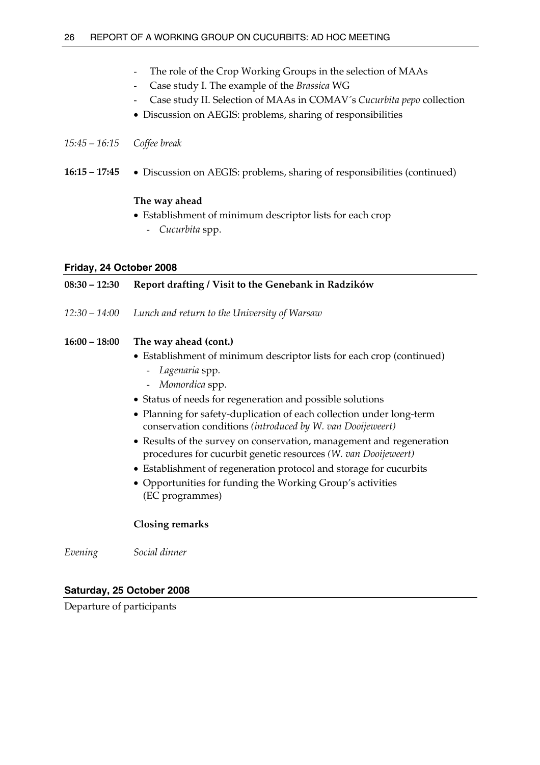- The role of the Crop Working Groups in the selection of MAAs
- Case study I. The example of the *Brassica* WG
- Case study II. Selection of MAAs in COMAV´s *Cucurbita pepo* collection
- Discussion on AEGIS: problems, sharing of responsibilities

## *15:45 – 16:15 Coffee break*

**16:15 – 17:45** • Discussion on AEGIS: problems, sharing of responsibilities (continued)

## **The way ahead**

- Establishment of minimum descriptor lists for each crop
	- *Cucurbita* spp.

## **Friday, 24 October 2008**

## **08:30 – 12:30 Report drafting / Visit to the Genebank in Radzików**  *12:30 – 14:00 Lunch and return to the University of Warsaw*  **16:00 – 18:00 The way ahead (cont.)**  • Establishment of minimum descriptor lists for each crop (continued) - *Lagenaria* spp*.*  - *Momordica* spp. • Status of needs for regeneration and possible solutions • Planning for safety-duplication of each collection under long-term conservation conditions *(introduced by W. van Dooijeweert)*  • Results of the survey on conservation, management and regeneration procedures for cucurbit genetic resources *(W. van Dooijeweert)* • Establishment of regeneration protocol and storage for cucurbits • Opportunities for funding the Working Group's activities (EC programmes)

## **Closing remarks**

*Evening Social dinner* 

## **Saturday, 25 October 2008**

Departure of participants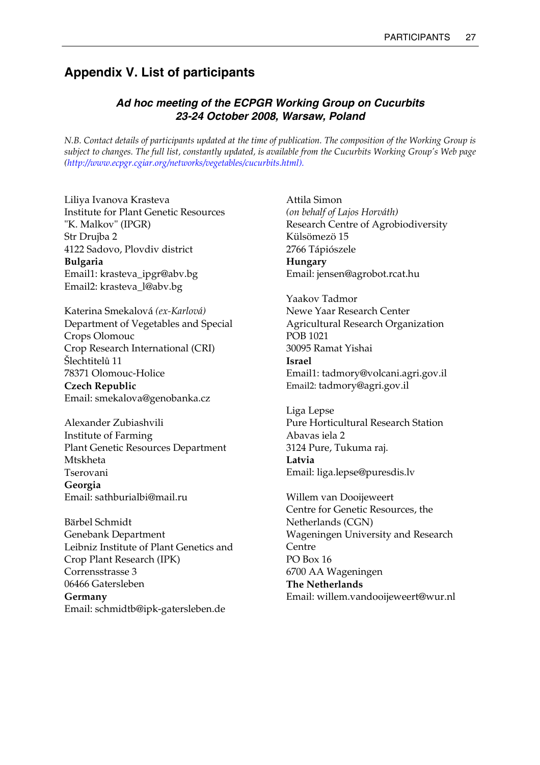## **Appendix V. List of participants**

## *Ad hoc meeting of the ECPGR Working Group on Cucurbits 23-24 October 2008, Warsaw, Poland*

*N.B. Contact details of participants updated at the time of publication. The composition of the Working Group is subject to changes. The full list, constantly updated, is available from the Cucurbits Working Group's Web page (http://www.ecpgr.cgiar.org/networks/vegetables/cucurbits.html).*

Liliya Ivanova Krasteva Institute for Plant Genetic Resources "K. Malkov" (IPGR) Str Drujba 2 4122 Sadovo, Plovdiv district **Bulgaria**  Email1: krasteva\_ipgr@abv.bg Email2: krasteva\_l@abv.bg

Katerina Smekalová *(ex-Karlová)* Department of Vegetables and Special Crops Olomouc Crop Research International (CRI) Šlechtitelů 11 78371 Olomouc-Holice **Czech Republic**  Email: smekalova@genobanka.cz

Alexander Zubiashvili Institute of Farming Plant Genetic Resources Department Mtskheta Tserovani **Georgia**  Email: sathburialbi@mail.ru

Bärbel Schmidt Genebank Department Leibniz Institute of Plant Genetics and Crop Plant Research (IPK) Corrensstrasse 3 06466 Gatersleben **Germany**  Email: schmidtb@ipk-gatersleben.de

Attila Simon *(on behalf of Lajos Horváth)*  Research Centre of Agrobiodiversity Külsömezö 15 2766 Tápiószele **Hungary**  Email: jensen@agrobot.rcat.hu

Yaakov Tadmor Newe Yaar Research Center Agricultural Research Organization POB 1021 30095 Ramat Yishai **Israel**  Email1: tadmory@volcani.agri.gov.il Email2: tadmory@agri.gov.il

Liga Lepse Pure Horticultural Research Station Abavas iela 2 3124 Pure, Tukuma raj. **Latvia**  Email: liga.lepse@puresdis.lv

Willem van Dooijeweert Centre for Genetic Resources, the Netherlands (CGN) Wageningen University and Research Centre PO Box 16 6700 AA Wageningen **The Netherlands**  Email: willem.vandooijeweert@wur.nl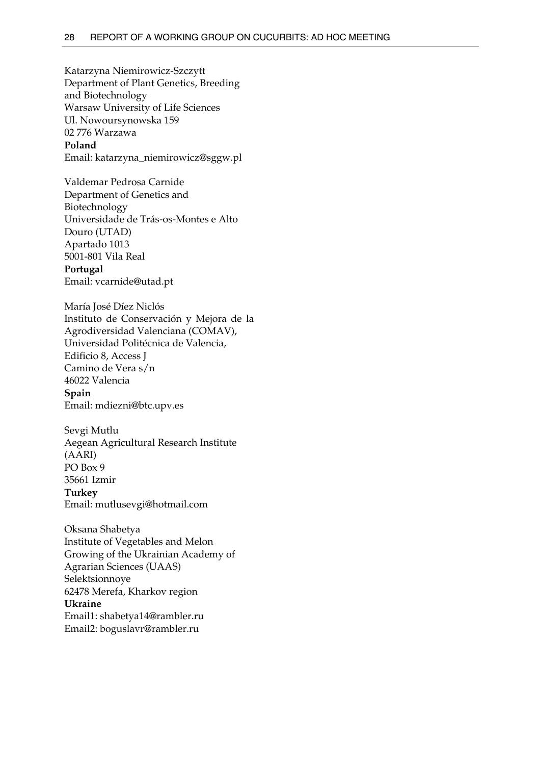Katarzyna Niemirowicz-Szczytt Department of Plant Genetics, Breeding and Biotechnology Warsaw University of Life Sciences Ul. Nowoursynowska 159 02 776 Warzawa **Poland**  Email: katarzyna\_niemirowicz@sggw.pl

Valdemar Pedrosa Carnide Department of Genetics and Biotechnology Universidade de Trás-os-Montes e Alto Douro (UTAD) Apartado 1013 5001-801 Vila Real **Portugal**  Email: vcarnide@utad.pt

María José Díez Niclós Instituto de Conservación y Mejora de la Agrodiversidad Valenciana (COMAV), Universidad Politécnica de Valencia, Edificio 8, Access J Camino de Vera s/n 46022 Valencia **Spain**  Email: mdiezni@btc.upv.es

Sevgi Mutlu Aegean Agricultural Research Institute (AARI) PO Box 9 35661 Izmir **Turkey**  Email: mutlusevgi@hotmail.com

Oksana Shabetya Institute of Vegetables and Melon Growing of the Ukrainian Academy of Agrarian Sciences (UAAS) Selektsionnoye 62478 Merefa, Kharkov region **Ukraine**  Email1: shabetya14@rambler.ru Email2: boguslavr@rambler.ru